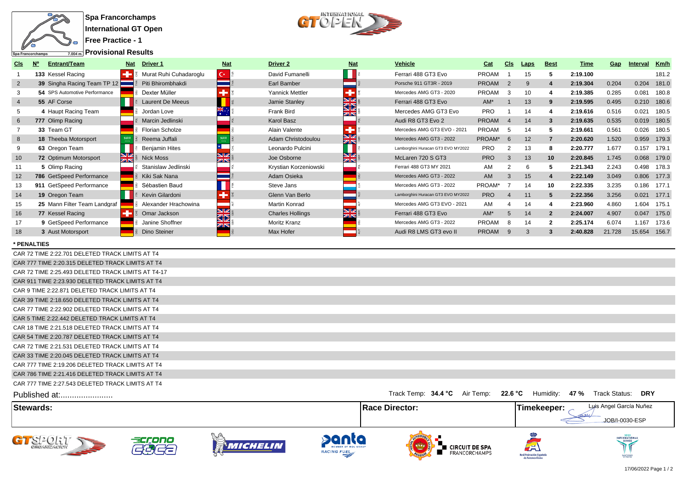



**Provisional Results**

| CIS             | Entrant/Team<br><b>N°</b>     | <b>Driver 1</b><br><b>Nat</b>                   | <b>Nat</b>  | <b>Driver 2</b>         | <b>Nat</b>         | Vehicle                            | Cat          | CIS          | <b>Laps</b> | <b>Best</b>      | Time     | Gap    | Interval | Km/h        |
|-----------------|-------------------------------|-------------------------------------------------|-------------|-------------------------|--------------------|------------------------------------|--------------|--------------|-------------|------------------|----------|--------|----------|-------------|
|                 | 133 Kessel Racing             | Murat Ruhi Cuhadaroglu                          | $C^*$ $\Xi$ | David Fumanelli         |                    | Ferrari 488 GT3 Evo                | PROAM        |              | 15          | 5                | 2:19.100 |        |          | 181.2       |
| $\overline{2}$  | 39 Singha Racing Team TP 12   | Piti Bhirombhakdi                               |             | Earl Bamber             |                    | Porsche 911 GT3R - 2019            | <b>PROAM</b> | 2            | 9           | $\boldsymbol{4}$ | 2:19.304 | 0.204  | 0.204    | 181.0       |
|                 | 54 SPS Automotive Performance | Dexter Müller                                   |             | Yannick Mettler         |                    | Mercedes AMG GT3 - 2020            | PROAM        |              | 10          |                  | 2:19.385 | 0.285  | 0.081    | 180.8       |
|                 | 55 AF Corse                   | <b>Laurent De Meeus</b>                         |             | Jamie Stanley           | <b>N</b><br>ସΣ     | Ferrari 488 GT3 Evo                | $AM^*$       |              | 13          |                  | 2:19.595 | 0.495  |          | 0.210 180.6 |
|                 | 4 Haupt Racing Team           | Jordan Love                                     |             | <b>Frank Bird</b>       | Øß                 | Mercedes AMG GT3 Evo               | <b>PRO</b>   |              | 14          |                  | 2:19.616 | 0.516  | 0.021    | 180.5       |
| 6               | 777 Olimp Racing              | Marcin Jedlinski                                |             | Karol Basz              |                    | Audi R8 GT3 Evo 2                  | <b>PROAM</b> |              | 14          | 3                | 2:19.635 | 0.535  | 0.019    | 180.5       |
|                 | 33 Team GT                    | Florian Scholze                                 |             | Alain Valente           |                    | Mercedes AMG GT3 EVO - 2021        | PROAM        |              | 14          |                  | 2:19.661 | 0.561  | 0.026    | 180.5       |
| 8               | <b>18 Theeba Motorsport</b>   | Reema Juffali                                   | 5370        | Adam Christodoulou      | NZ<br>ZN           | Mercedes AMG GT3 - 2022            | PROAM*       | <b>6</b>     | 12          |                  | 2:20.620 | 1.520  |          | 0.959 179.3 |
|                 | 63 Oregon Team                | <b>Benjamin Hites</b>                           |             | Leonardo Pulcini        |                    | Lamborghini Huracan GT3 EVO MY2022 | <b>PRO</b>   |              | 13          |                  | 2:20.777 | 1.677  | 0.157    | 179.1       |
| 10 <sup>1</sup> | <b>72 Optimum Motorsport</b>  | $\frac{\text{N}}{\text{N}}$<br><b>Nick Moss</b> | NZ.<br>ZK   | Joe Osborne             | NZ<br>$z_{\rm IN}$ | McLaren 720 S GT3                  | <b>PRO</b>   | 3            | 13          | 10 <sup>1</sup>  | 2:20.845 | 1.745  |          | 0.068 179.0 |
|                 | 5 Olimp Racing                | Stanislaw Jedlinski                             |             | Krystian Korzeniowski   |                    | Ferrari 488 GT3 MY 2021            | AM           |              | 6           |                  | 2:21.343 | 2.243  |          | 0.498 178.3 |
| 12              | 786 GetSpeed Performance      | Kiki Sak Nana                                   |             | Adam Osieka             |                    | Mercedes AMG GT3 - 2022            | <b>AM</b>    |              | 15          |                  | 2:22.149 | 3.049  |          | 0.806 177.3 |
| 13              | 911 GetSpeed Performance      | Sébastien Baud                                  |             | Steve Jans              |                    | Mercedes AMG GT3 - 2022            | PROAM*       |              | 14          | 10               | 2:22.335 | 3.235  | 0.186    | 177.1       |
| 14              | 19 Oregon Team                | Kevin Gilardoni                                 |             | Glenn Van Berlo         |                    | Lamborghini Huracan GT3 EVO MY2022 | <b>PRO</b>   |              | 11          | 5                | 2:22.356 | 3.256  | 0.021    | 177.1       |
| 15              | 25 Mann Filter Team Landgraf  | Alexander Hrachowina                            |             | Martin Konrad           |                    | Mercedes AMG GT3 EVO - 2021        | AM           |              | 14          |                  | 2:23.960 | 4.860  | 1.604    | 175.1       |
| 16              | 77 Kessel Racing              | Omar Jackson                                    | NK<br>KR    | <b>Charles Hollings</b> | NR.<br><b>ZIN</b>  | Ferrari 488 GT3 Evo                | $AM^*$       |              | 14          | $\overline{2}$   | 2:24.007 | 4.907  | 0.047    | 175.0       |
|                 | 9 GetSpeed Performance        | Janine Shoffner                                 |             | Moritz Kranz            |                    | Mercedes AMG GT3 - 2022            | PROAM        |              | 14          | $\overline{2}$   | 2:25.174 | 6.074  | 1.167    | 173.6       |
| 18              | 3 Aust Motorsport             | Dino Steiner                                    |             | Max Hofer               |                    | Audi R8 LMS GT3 evo II             | <b>PROAM</b> | <sub>9</sub> | 3           | 3                | 2:40.828 | 21.728 | 15.654   | 156.7       |

**\* PENALTIES**

CAR 72 TIME 2:22.701 DELETED TRACK LIMITS AT T4 CAR 777 TIME 2:20.315 DELETED TRACK LIMITS AT T4 CAR 72 TIME 2:25.493 DELETED TRACK LIMITS AT T4-17 CAR 911 TIME 2:23.930 DELETED TRACK LIMITS AT T4 CAR 9 TIME 2:22.871 DELETED TRACK LIMITS AT T4 CAR 39 TIME 2:18.650 DELETED TRACK LIMITS AT T4 CAR 77 TIME 2:22.902 DELETED TRACK LIMITS AT T4 CAR 5 TIME 2:22.442 DELETED TRACK LIMITS AT T4 CAR 18 TIME 2:21.518 DELETED TRACK LIMITS AT T4 CAR 54 TIME 2:20.787 DELETED TRACK LIMITS AT T4 CAR 72 TIME 2:21.531 DELETED TRACK LIMITS AT T4 CAR 33 TIME 2:20.045 DELETED TRACK LIMITS AT T4 CAR 777 TIME 2:19.206 DELETED TRACK LIMITS AT T4 CAR 786 TIME 2:21.416 DELETED TRACK LIMITS AT T4 CAR 777 TIME 2:27.543 DELETED TRACK LIMITS AT T4 Published at:....................... Track Status: Track Temp: **34.4 °C** Air Temp: **22.6 °C** Humidity: **47 % DRY** Luis Angel García Nuñez **Stewards: Race Director: Timekeeper:** JOB/I-0030-ESP DQN GTS2017 acrono ERNATIC MICHELIN

**RACING FUEL** 

**E** CIRCUIT DE SPA

FRANCORCHAMPS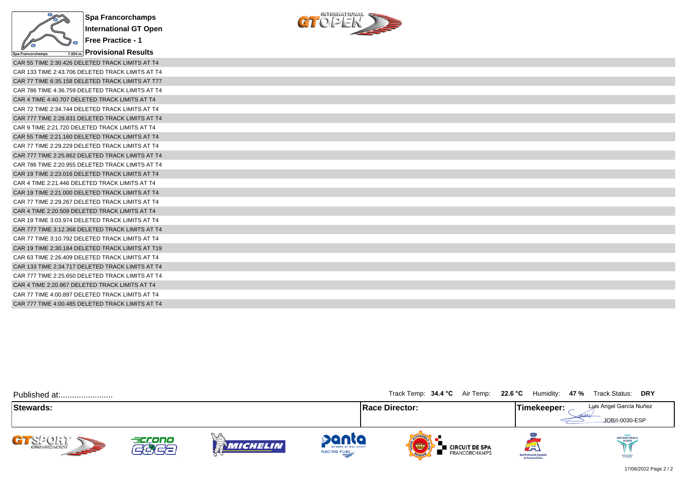

**Free Practice - 1 Provisional Results**  $C_1^{\text{interparameter}}$ 

| CAR 55 TIME 2:30.426 DELETED TRACK LIMITS AT T4  |
|--------------------------------------------------|
| CAR 133 TIME 2:43.706 DELETED TRACK LIMITS AT T4 |
| CAR 77 TIME 6:35.158 DELETED TRACK LIMITS AT T77 |
| CAR 786 TIME 4:36.759 DELETED TRACK LIMITS AT T4 |
| CAR 4 TIME 4:40.707 DELETED TRACK LIMITS AT T4   |
| CAR 72 TIME 2:34.744 DELETED TRACK LIMITS AT T4  |
| CAR 777 TIME 2:28.831 DELETED TRACK LIMITS AT T4 |
| CAR 9 TIME 2:21.720 DELETED TRACK LIMITS AT T4   |
| CAR 55 TIME 2:21.160 DELETED TRACK LIMITS AT T4  |
| CAR 77 TIME 2:29.229 DELETED TRACK LIMITS AT T4  |
| CAR 777 TIME 2:25.862 DELETED TRACK LIMITS AT T4 |
| CAR 786 TIME 2:20.955 DELETED TRACK LIMITS AT T4 |
| CAR 19 TIME 2:23.016 DELETED TRACK LIMITS AT T4  |
| CAR 4 TIME 2:21.446 DELETED TRACK LIMITS AT T4   |
| CAR 19 TIME 2:21.000 DELETED TRACK LIMITS AT T4  |
| CAR 77 TIME 2:29.267 DELETED TRACK LIMITS AT T4  |
| CAR 4 TIME 2:20.509 DELETED TRACK LIMITS AT T4   |
| CAR 19 TIME 3:03.974 DELETED TRACK LIMITS AT T4  |
| CAR 777 TIME 3:12.368 DELETED TRACK LIMITS AT T4 |
| CAR 77 TIME 3:10.792 DELETED TRACK LIMITS AT T4  |
| CAR 19 TIME 2:30.184 DELETED TRACK LIMITS AT T19 |
| CAR 63 TIME 2:26.409 DELETED TRACK LIMITS AT T4  |
| CAR 133 TIME 2:34.717 DELETED TRACK LIMITS AT T4 |
| CAR 777 TIME 2:25.650 DELETED TRACK LIMITS AT T4 |
| CAR 4 TIME 2:20.867 DELETED TRACK LIMITS AT T4   |
| CAR 77 TIME 4:00.897 DELETED TRACK LIMITS AT T4  |
| CAR 777 TIME 4:00.485 DELETED TRACK LIMITS AT T4 |

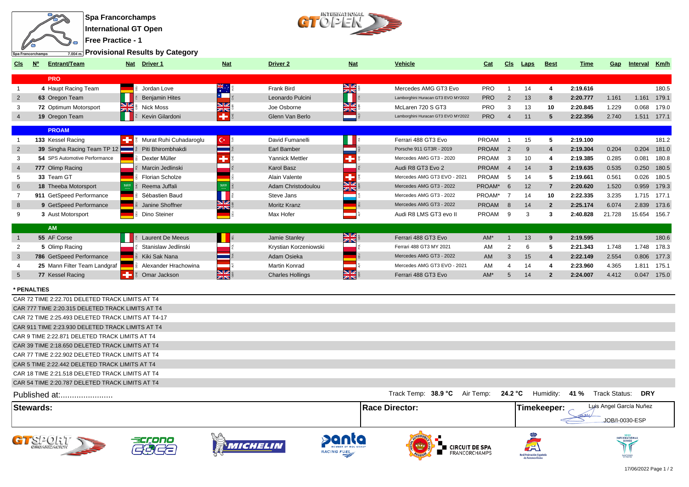



**Provisional Results by Category**

| CIS            | Entrant/Team                  | <b>Driver 1</b><br><b>Nat</b>  | <b>Nat</b>       | <b>Driver 2</b>         | <b>Nat</b>                                                   | <b>Vehicle</b>                     | Cat          | <b>CIs</b>     | Laps | <b>Best</b>    | Time     | Gap    | Interval | Km/h  |
|----------------|-------------------------------|--------------------------------|------------------|-------------------------|--------------------------------------------------------------|------------------------------------|--------------|----------------|------|----------------|----------|--------|----------|-------|
|                | <b>PRO</b>                    |                                |                  |                         |                                                              |                                    |              |                |      |                |          |        |          |       |
|                | 4 Haupt Racing Team           | Jordan Love                    |                  | Frank Bird              | NK<br>ZK                                                     | Mercedes AMG GT3 Evo               | PRO          |                | 14   |                | 2:19.616 |        |          | 180.5 |
| $\overline{2}$ | 63 Oregon Team                | <b>Benjamin Hites</b>          |                  | Leonardo Pulcini        |                                                              | Lamborghini Huracan GT3 EVO MY2022 | <b>PRO</b>   | $\overline{2}$ | 13   | 8              | 2:20.777 | 1.161  | 1.161    | 179.1 |
|                | 72 Optimum Motorsport         | <b>Nick Moss</b><br><b>ZIN</b> | NZ.<br>ZK        | Joe Osborne             | NØ<br>ZK                                                     | McLaren 720 S GT3                  | <b>PRO</b>   |                | 13   | 10             | 2:20.845 | 1.229  | 0.068    | 179.0 |
|                | 19 Oregon Team                | Kevin Gilardoni                | ÷                | Glenn Van Berlo         |                                                              | Lamborghini Huracan GT3 EVO MY2022 | <b>PRO</b>   | 4              | 11   | 5              | 2:22.356 | 2.740  | 1.511    | 177.1 |
|                | <b>PROAM</b>                  |                                |                  |                         |                                                              |                                    |              |                |      |                |          |        |          |       |
|                | 133 Kessel Racing             | Murat Ruhi Cuhadaroglu         | $C^*$            | David Fumanelli         |                                                              | Ferrari 488 GT3 Evo                | <b>PROAM</b> |                | 15   | 5              | 2:19.100 |        |          | 181.2 |
| 2              | 39 Singha Racing Team TP 12   | Piti Bhirombhakdi              |                  | Earl Bamber             |                                                              | Porsche 911 GT3R - 2019            | <b>PROAM</b> | 2              | 9    |                | 2:19.304 | 0.204  | 0.204    | 181.0 |
|                | 54 SPS Automotive Performance | Dexter Müller                  |                  | Yannick Mettler         |                                                              | Mercedes AMG GT3 - 2020            | <b>PROAM</b> | 3              | 10   |                | 2:19.385 | 0.285  | 0.081    | 180.8 |
|                | 777 Olimp Racing              | Marcin Jedlinski               |                  | <b>Karol Basz</b>       |                                                              | Audi R8 GT3 Evo 2                  | <b>PROAM</b> |                | 14   | 3              | 2:19.635 | 0.535  | 0.250    | 180.5 |
|                | 33 Team GT                    | <b>Florian Scholze</b>         |                  | Alain Valente           |                                                              | Mercedes AMG GT3 EVO - 2021        | <b>PROAM</b> | -5             | 14   |                | 2:19.661 | 0.561  | 0.026    | 180.5 |
| 6              | 18 Theeba Motorsport          | Reema Juffali                  | 5370             | Adam Christodoulou      | $\overline{\mathbf{M}}$<br>$\overline{\mathbb{Z}}\mathbb{R}$ | Mercedes AMG GT3 - 2022            | PROAM*       | 6              | 12   |                | 2:20.620 | 1.520  | 0.959    | 179.3 |
|                | 911 GetSpeed Performance      | Sébastien Baud                 |                  | Steve Jans              |                                                              | Mercedes AMG GT3 - 2022            | PROAM*       |                | 14   | 10             | 2:22.335 | 3.235  | 1.715    | 177.1 |
| 8              | 9 GetSpeed Performance        | Janine Shoffner                | 꾫                | <b>Moritz Kranz</b>     |                                                              | Mercedes AMG GT3 - 2022            | <b>PROAM</b> | 8              | 14   | $\mathbf{2}$   | 2:25.174 | 6.074  | 2.839    | 173.6 |
| 9              | 3 Aust Motorsport             | Dino Steiner                   |                  | Max Hofer               |                                                              | Audi R8 LMS GT3 evo II             | <b>PROAM</b> | 9              |      | 3              | 2:40.828 | 21.728 | 15.654   | 156.7 |
|                | <b>AM</b>                     |                                |                  |                         |                                                              |                                    |              |                |      |                |          |        |          |       |
|                | 55 AF Corse                   | <b>Laurent De Meeus</b>        |                  | Jamie Stanley           | NK<br>25                                                     | Ferrari 488 GT3 Evo                | $AM^*$       |                | 13   | 9              | 2:19.595 |        |          | 180.6 |
|                | 5 Olimp Racing                | Stanislaw Jedlinski            |                  | Krystian Korzeniowski   |                                                              | Ferrari 488 GT3 MY 2021            | AM           | $\overline{2}$ | 6    | 5              | 2:21.343 | 1.748  | 1.748    | 178.3 |
| $\mathbf{3}$   | 786 GetSpeed Performance      | Kiki Sak Nana                  |                  | Adam Osieka             |                                                              | Mercedes AMG GT3 - 2022            | AM           | 3              | 15   |                | 2:22.149 | 2.554  | 0.806    | 177.3 |
|                | 25 Mann Filter Team Landgraf  | Alexander Hrachowina           |                  | <b>Martin Konrad</b>    |                                                              | Mercedes AMG GT3 EVO - 2021        | AM           |                | 14   |                | 2:23.960 | 4.365  | 1.811    | 175.1 |
| $5^{\circ}$    | 77 Kessel Racing              | Omar Jackson                   | <u>NK</u><br>zis | <b>Charles Hollings</b> | <b>N</b><br>zr                                               | Ferrari 488 GT3 Evo                | $AM*$        |                | 14   | $\overline{2}$ | 2:24.007 | 4.412  | 0.047    | 175.0 |
|                |                               |                                |                  |                         |                                                              |                                    |              |                |      |                |          |        |          |       |

**\* PENALTIES**

| Stewards:                                          | <b>Race Director:</b>                                | Luis Angel García Nuñez<br><b>Timekeeper:</b><br>JOB/I-0030-ESP |
|----------------------------------------------------|------------------------------------------------------|-----------------------------------------------------------------|
| Published at:                                      | Track Temp: 38.9 °C Air Temp: 24.2 °C Humidity: 41 % | Track Status: DRY                                               |
| CAR 54 TIME 2:20.787 DELETED TRACK LIMITS AT T4    |                                                      |                                                                 |
| CAR 18 TIME 2:21.518 DELETED TRACK LIMITS AT T4    |                                                      |                                                                 |
| CAR 5 TIME 2:22.442 DELETED TRACK LIMITS AT T4     |                                                      |                                                                 |
| CAR 77 TIME 2:22.902 DELETED TRACK LIMITS AT T4    |                                                      |                                                                 |
| CAR 39 TIME 2:18.650 DELETED TRACK LIMITS AT T4    |                                                      |                                                                 |
| CAR 9 TIME 2:22.871 DELETED TRACK LIMITS AT T4     |                                                      |                                                                 |
| CAR 911 TIME 2:23.930 DELETED TRACK LIMITS AT T4   |                                                      |                                                                 |
| CAR 72 TIME 2:25.493 DELETED TRACK LIMITS AT T4-17 |                                                      |                                                                 |
| CAR 777 TIME 2:20.315 DELETED TRACK LIMITS AT T4   |                                                      |                                                                 |
| CAR 72 TIME 2:22.701 DELETED TRACK LIMITS AT T4    |                                                      |                                                                 |











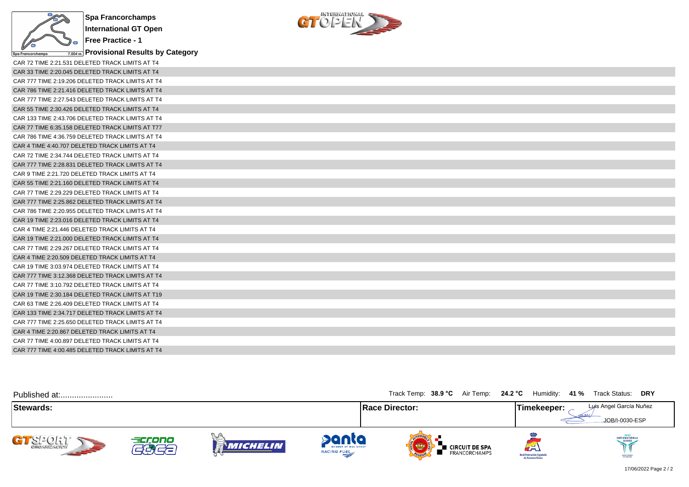

**Provisional Results by Category**



| CAR 72 TIME 2:21.531 DELETED TRACK LIMITS AT T4  |
|--------------------------------------------------|
| CAR 33 TIME 2:20.045 DELETED TRACK LIMITS AT T4  |
| CAR 777 TIME 2:19.206 DELETED TRACK LIMITS AT T4 |
| CAR 786 TIME 2:21.416 DELETED TRACK LIMITS AT T4 |
| CAR 777 TIME 2:27.543 DELETED TRACK LIMITS AT T4 |
| CAR 55 TIME 2:30.426 DELETED TRACK LIMITS AT T4  |
| CAR 133 TIME 2:43.706 DELETED TRACK LIMITS AT T4 |
| CAR 77 TIME 6:35.158 DELETED TRACK LIMITS AT T77 |
| CAR 786 TIME 4:36.759 DELETED TRACK LIMITS AT T4 |
| CAR 4 TIME 4:40.707 DELETED TRACK LIMITS AT T4   |
| CAR 72 TIME 2:34.744 DELETED TRACK LIMITS AT T4  |
| CAR 777 TIME 2:28.831 DELETED TRACK LIMITS AT T4 |
| CAR 9 TIME 2:21.720 DELETED TRACK LIMITS AT T4   |
| CAR 55 TIME 2:21.160 DELETED TRACK LIMITS AT T4  |
| CAR 77 TIME 2:29.229 DELETED TRACK LIMITS AT T4  |
| CAR 777 TIME 2:25.862 DELETED TRACK LIMITS AT T4 |
| CAR 786 TIME 2:20.955 DELETED TRACK LIMITS AT T4 |
| CAR 19 TIME 2:23.016 DELETED TRACK LIMITS AT T4  |
| CAR 4 TIME 2:21.446 DELETED TRACK LIMITS AT T4   |
| CAR 19 TIME 2:21,000 DELETED TRACK LIMITS AT T4  |
| CAR 77 TIME 2:29.267 DELETED TRACK LIMITS AT T4  |
| CAR 4 TIME 2:20.509 DELETED TRACK LIMITS AT T4   |
| CAR 19 TIME 3:03.974 DELETED TRACK LIMITS AT T4  |
| CAR 777 TIME 3:12.368 DELETED TRACK LIMITS AT T4 |
| CAR 77 TIME 3:10.792 DELETED TRACK LIMITS AT T4  |
| CAR 19 TIME 2:30.184 DELETED TRACK LIMITS AT T19 |
| CAR 63 TIME 2:26.409 DELETED TRACK LIMITS AT T4  |
| CAR 133 TIME 2:34.717 DELETED TRACK LIMITS AT T4 |
| CAR 777 TIME 2:25.650 DELETED TRACK LIMITS AT T4 |
| CAR 4 TIME 2:20.867 DELETED TRACK LIMITS AT T4   |
| CAR 77 TIME 4:00.897 DELETED TRACK LIMITS AT T4  |
| CAR 777 TIME 4:00.485 DELETED TRACK LIMITS AT T4 |

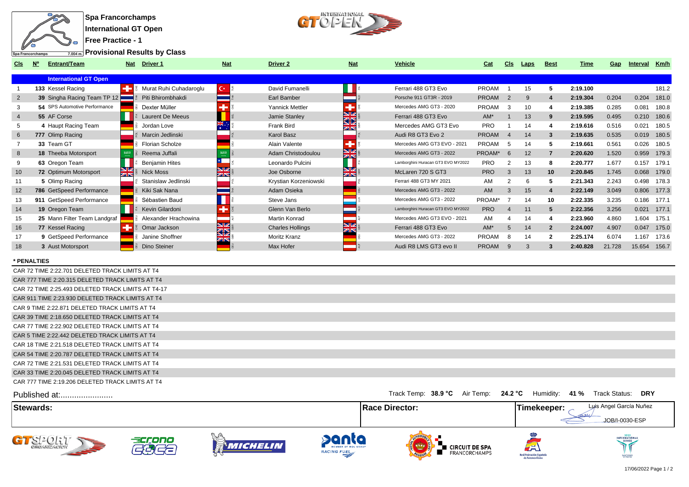



**Free Practice - 1**

**Provisional Results by Class**

| CIS             | Entrant/Team                  | Driver 1<br><b>Nat</b>            | <b>Nat</b>            | <b>Driver 2</b>         | <b>Nat</b>       | Vehicle                            | Cat          | CIS            | Laps | <b>Best</b>    | Time     | Gap    | Interval | Km/h        |
|-----------------|-------------------------------|-----------------------------------|-----------------------|-------------------------|------------------|------------------------------------|--------------|----------------|------|----------------|----------|--------|----------|-------------|
|                 | <b>International GT Open</b>  |                                   |                       |                         |                  |                                    |              |                |      |                |          |        |          |             |
|                 | 133 Kessel Racing             | Murat Ruhi Cuhadaroqlu            | $C \cdot \frac{8}{5}$ | David Fumanelli         |                  | Ferrari 488 GT3 Evo                | <b>PROAM</b> |                | 15   | 5              | 2:19.100 |        |          | 181.2       |
| $\overline{2}$  | 39 Singha Racing Team TP 12   | Piti Bhirombhakdi                 |                       | Earl Bamber             |                  | Porsche 911 GT3R - 2019            | <b>PROAM</b> | $\overline{2}$ | 9    |                | 2:19.304 | 0.204  | 0.204    | 181.0       |
|                 | 54 SPS Automotive Performance | Dexter Müller                     |                       | Yannick Mettler         |                  | Mercedes AMG GT3 - 2020            | PROAM        | 3              | 10   |                | 2:19.385 | 0.285  | 0.081    | 180.8       |
| 4               | 55 AF Corse                   | <b>Laurent De Meeus</b>           |                       | Jamie Stanley           | NØ<br>ସ⊠         | Ferrari 488 GT3 Evo                | AM*          |                | 13   | 9              | 2:19.595 | 0.495  | 0.210    | 180.6       |
|                 | 4 Haupt Racing Team           | Jordan Love                       |                       | <b>Frank Bird</b>       | ZK               | Mercedes AMG GT3 Evo               | <b>PRO</b>   |                | 14   |                | 2:19.616 | 0.516  | 0.021    | 180.5       |
| 6               | 777 Olimp Racing              | Marcin Jedlinski                  |                       | Karol Basz              |                  | Audi R8 GT3 Evo 2                  | <b>PROAM</b> |                | 14   | 3              | 2:19.635 | 0.535  |          | 0.019 180.5 |
|                 | 33 Team GT                    | Florian Scholze                   |                       | Alain Valente           |                  | Mercedes AMG GT3 EVO - 2021        | PROAM        | .5             | 14   |                | 2:19.661 | 0.561  | 0.026    | 180.5       |
| 8               | <b>18 Theeba Motorsport</b>   | Reema Juffali                     |                       | Adam Christodoulou      | NK<br>ZIN        | Mercedes AMG GT3 - 2022            | PROAM*       | 6              | 12   | 7              | 2:20.620 | 1.520  | 0.959    | 179.3       |
| 9               | 63 Oregon Team                | <b>Benjamin Hites</b>             |                       | Leonardo Pulcini        |                  | Lamborghini Huracan GT3 EVO MY2022 | <b>PRO</b>   |                | 13   | -8             | 2:20.777 | 1.677  | 0.157    | 179.1       |
| 10              | 72 Optimum Motorsport         | $\frac{N}{2}$<br><b>Nick Moss</b> | NIZ.<br>ZK            | Joe Osborne             | NZ<br><b>ZIN</b> | McLaren 720 S GT3                  | <b>PRO</b>   | 3              | 13   | 10             | 2:20.845 | 1.745  | 0.068    | 179.0       |
| 11              | 5 Olimp Racing                | Stanislaw Jedlinski               |                       | Krystian Korzeniowski   |                  | Ferrari 488 GT3 MY 2021            | AM           |                | 6    |                | 2:21.343 | 2.243  | 0.498    | 178.3       |
| 12 <sup>2</sup> | 786 GetSpeed Performance      | Kiki Sak Nana                     |                       | Adam Osieka             |                  | Mercedes AMG GT3 - 2022            | <b>AM</b>    | 3              | 15   |                | 2:22.149 | 3.049  |          | 0.806 177.3 |
|                 | 911 GetSpeed Performance      | Sébastien Baud                    |                       | Steve Jans              |                  | Mercedes AMG GT3 - 2022            | PROAM*       |                | 14   | 10             | 2:22.335 | 3.235  | 0.186    | 177.1       |
| 14              | 19 Oregon Team                | Kevin Gilardoni                   |                       | Glenn Van Berlo         |                  | Lamborghini Huracan GT3 EVO MY2022 | <b>PRO</b>   |                |      | 5              | 2:22.356 | 3.256  | 0.021    | 177.1       |
| 15              | 25 Mann Filter Team Landgraf  | Alexander Hrachowina              |                       | Martin Konrad           |                  | Mercedes AMG GT3 EVO - 2021        | AM           |                | 14   |                | 2:23.960 | 4.860  | 1.604    | 175.1       |
| 16              | 77 Kessel Racing              | Omar Jackson                      | <b>NZ</b><br>ସ⊠       | <b>Charles Hollings</b> | NZ<br>zirs       | Ferrari 488 GT3 Evo                | $AM*$        | 5              | 14   | $\overline{2}$ | 2:24.007 | 4.907  | 0.047    | 175.0       |
| 17              | 9 GetSpeed Performance        | Janine Shoffner                   |                       | Moritz Kranz            |                  | Mercedes AMG GT3 - 2022            | PROAM        | 8              | 14   | $\mathbf{2}$   | 2:25.174 | 6.074  | 1.167    | 173.6       |
| 18              | 3 Aust Motorsport             | Dino Steiner                      |                       | Max Hofer               |                  | Audi R8 LMS GT3 evo II             | <b>PROAM</b> |                | 3    |                | 2:40.828 | 21.728 | 15.654   | 156.7       |

## **\* PENALTIES**

| CAR 72 TIME 2:22.701 DELETED TRACK LIMITS AT T4    |
|----------------------------------------------------|
| CAR 777 TIME 2:20.315 DELETED TRACK LIMITS AT T4   |
| CAR 72 TIME 2:25.493 DELETED TRACK LIMITS AT T4-17 |
| CAR 911 TIME 2:23.930 DELETED TRACK LIMITS AT T4   |
| CAR 9 TIME 2:22.871 DELETED TRACK LIMITS AT T4     |
| CAR 39 TIME 2:18.650 DELETED TRACK LIMITS AT T4    |
| CAR 77 TIME 2:22.902 DELETED TRACK LIMITS AT T4    |
| CAR 5 TIME 2:22.442 DELETED TRACK LIMITS AT T4     |
| CAR 18 TIME 2:21.518 DELETED TRACK LIMITS AT T4    |
| CAR 54 TIME 2:20.787 DELETED TRACK LIMITS AT T4    |
| CAR 72 TIME 2:21.531 DELETED TRACK LIMITS AT T4    |
| CAR 33 TIME 2:20.045 DELETED TRACK LIMITS AT T4    |
| CAR 777 TIME 2:19.206 DELETED TRACK LIMITS AT T4   |

| Published at:                                                                       |              |                         |                                                           | Track Temp: 38.9 °C Air Temp: 24.2 °C                       |                                                     | Humidity: 41 % Track Status:<br><b>DRY</b> |
|-------------------------------------------------------------------------------------|--------------|-------------------------|-----------------------------------------------------------|-------------------------------------------------------------|-----------------------------------------------------|--------------------------------------------|
| <b>∣Stewards:</b>                                                                   |              |                         |                                                           | <b>Race Director:</b>                                       | Timekeeper:                                         | Luis Angel García Nuñez<br>JOB/I-0030-ESP  |
| $\sum_{\text{O}} \sum_{\text{O}} \sum_{\text{O}} \sum_{\text{O}}$<br><b>SEPTENT</b> | accono<br>22 | V. G<br><b>MICHELIN</b> | <b>Panta</b><br>MEMBER OF MOL GROUP<br><b>RACING FUEL</b> | ∎ CIRCUIT DE SPA<br><b>FRANCORCHAMPS</b><br><b>OFFICINA</b> | لطة<br>Real Federación Española<br>de Automovilismo | INTERNATIONAL<br>SANCTIONED                |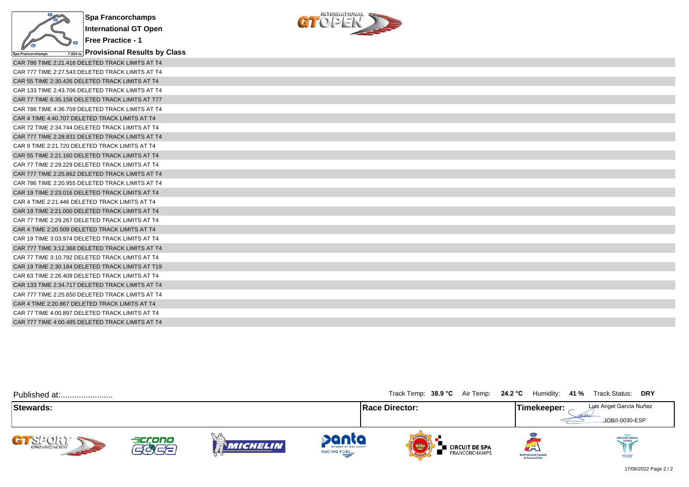



| CAR 786 TIME 2:21.416 DELETED TRACK LIMITS AT T4 |
|--------------------------------------------------|
| CAR 777 TIME 2:27.543 DELETED TRACK LIMITS AT T4 |
| CAR 55 TIME 2:30.426 DELETED TRACK LIMITS AT T4  |
| CAR 133 TIME 2:43.706 DELETED TRACK LIMITS AT T4 |
| CAR 77 TIME 6:35.158 DELETED TRACK LIMITS AT T77 |
| CAR 786 TIME 4:36.759 DELETED TRACK LIMITS AT T4 |
| CAR 4 TIME 4:40.707 DELETED TRACK LIMITS AT T4   |
| CAR 72 TIME 2:34.744 DELETED TRACK LIMITS AT T4  |
| CAR 777 TIME 2:28.831 DELETED TRACK LIMITS AT T4 |
| CAR 9 TIME 2:21.720 DELETED TRACK LIMITS AT T4   |
| CAR 55 TIME 2:21.160 DELETED TRACK LIMITS AT T4  |
| CAR 77 TIME 2:29.229 DELETED TRACK LIMITS AT T4  |
| CAR 777 TIME 2:25.862 DELETED TRACK LIMITS AT T4 |
| CAR 786 TIME 2:20.955 DELETED TRACK LIMITS AT T4 |
| CAR 19 TIME 2:23.016 DELETED TRACK LIMITS AT T4  |
| CAR 4 TIME 2:21.446 DELETED TRACK LIMITS AT T4   |
| CAR 19 TIME 2:21.000 DELETED TRACK LIMITS AT T4  |
| CAR 77 TIME 2:29.267 DELETED TRACK LIMITS AT T4  |
| CAR 4 TIME 2:20.509 DELETED TRACK LIMITS AT T4   |
| CAR 19 TIME 3:03.974 DELETED TRACK LIMITS AT T4  |
| CAR 777 TIME 3:12.368 DELETED TRACK LIMITS AT T4 |
| CAR 77 TIME 3:10.792 DELETED TRACK LIMITS AT T4  |
| CAR 19 TIME 2:30.184 DELETED TRACK LIMITS AT T19 |
| CAR 63 TIME 2:26.409 DELETED TRACK LIMITS AT T4  |
| CAR 133 TIME 2:34.717 DELETED TRACK LIMITS AT T4 |
| CAR 777 TIME 2:25.650 DELETED TRACK LIMITS AT T4 |
| CAR 4 TIME 2:20.867 DELETED TRACK LIMITS AT T4   |
| CAR 77 TIME 4:00.897 DELETED TRACK LIMITS AT T4  |
| CAR 777 TIME 4:00.485 DELETED TRACK LIMITS AT T4 |

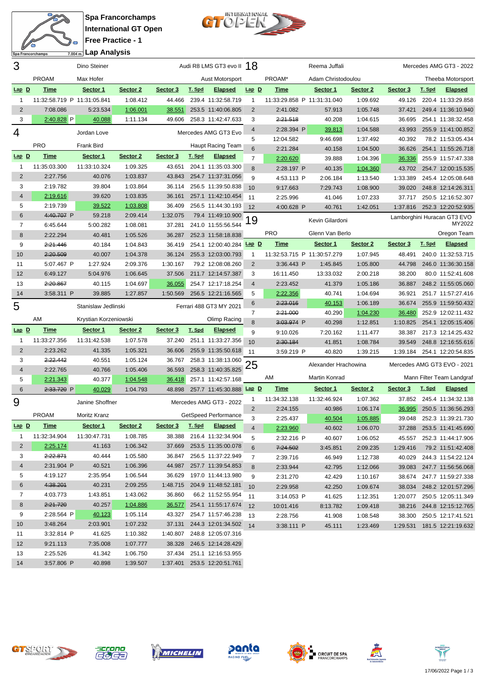

**Spa Francorchamps International GT Open Free Practice - 1**  $\overline{12}$ **Lap Analysis**

 $\blacksquare$ 衙  $\gg$ 

Spa Francorchamps

| 3              |                             | Dino Steiner          |          |          |               | Audi R8 LMS GT3 evo II 18 |                 |              | Reema Juffali               |          |          |        | Mercedes AMG GT3 - 2022       |
|----------------|-----------------------------|-----------------------|----------|----------|---------------|---------------------------|-----------------|--------------|-----------------------------|----------|----------|--------|-------------------------------|
|                | <b>PROAM</b>                | Max Hofer             |          |          |               | Aust Motorsport           |                 | PROAM*       | Adam Christodoulou          |          |          |        | Theeba Motorsport             |
| $Lap$ $D$      | <b>Time</b>                 | Sector 1              | Sector 2 | Sector 3 | T. Spd        | <b>Elapsed</b>            | $Lap$ $D$       | <u>Time</u>  | Sector 1                    | Sector 2 | Sector 3 | T. Spd | <b>Elapsed</b>                |
| 1              | 11:32:58.719 P 11:31:05.841 |                       | 1:08.412 | 44.466   |               | 239.4 11:32:58.719        | 1               |              | 11:33:29.858 P 11:31:31.040 | 1:09.692 | 49.126   |        | 220.4 11:33:29.858            |
| 2              | 7:08.086                    | 5:23.534              | 1:06.001 | 38.551   |               | 253.5 11:40:06.805        | $\overline{2}$  | 2:41.082     | 57.913                      | 1:05.748 | 37.421   |        | 249.4 11:36:10.940            |
| 3              | 2:40.828 P                  | 40.088                | 1:11.134 | 49.606   |               | 258.3 11:42:47.633        | 3               | 2:21.518     | 40.208                      | 1:04.615 | 36.695   |        | 254.1 11:38:32.458            |
| 4              |                             | Jordan Love           |          |          |               | Mercedes AMG GT3 Evo      | 4               | 2:28.394 P   | 39.813                      | 1:04.588 | 43.993   |        | 255.9 11:41:00.852            |
|                |                             |                       |          |          |               |                           | 5               | 12:04.582    | 9:46.698                    | 1:37.492 | 40.392   |        | 78.2 11:53:05.434             |
|                | <b>PRO</b>                  | Frank Bird            |          |          |               | Haupt Racing Team         | $6\phantom{1}6$ | 2:21.284     | 40.158                      | 1:04.500 | 36.626   |        | 254.1 11:55:26.718            |
| $Lap$ $D$      | <b>Time</b>                 | Sector 1              | Sector 2 | Sector 3 | T. Spd        | <b>Elapsed</b>            | $\overline{7}$  | 2:20.620     | 39.888                      | 1:04.396 | 36.336   |        | 255.9 11:57:47.338            |
| 1              | 11:35:03.300                | 11:33:10.324          | 1:09.325 | 43.651   |               | 204.1 11:35:03.300        | 8               | 2:28.197 P   | 40.135                      | 1:04.360 | 43.702   |        | 254.7 12:00:15.535            |
| 2              | 2:27.756                    | 40.076                | 1:03.837 | 43.843   |               | 254.7 11:37:31.056        | 9               | 4:53.113 P   | 2:06.184                    | 1:13.540 | 1:33.389 |        | 245.4 12:05:08.648            |
| 3              | 2:19.782                    | 39.804                | 1:03.864 | 36.114   |               | 256.5 11:39:50.838        | 10              | 9:17.663     | 7:29.743                    | 1:08.900 | 39.020   |        | 248.8 12:14:26.311            |
| $\overline{4}$ | 2:19.616                    | 39.620                | 1:03.835 | 36.161   |               | 257.1 11:42:10.454        | 11              | 2:25.996     | 41.046                      | 1:07.233 | 37.717   |        | 250.5 12:16:52.307            |
| 5              | 2:19.739                    | 39.522                | 1:03.808 | 36.409   |               | 256.5 11:44:30.193        | 12              | 4:00.628 P   | 40.761                      | 1:42.051 | 1:37.816 |        | 252.3 12:20:52.935            |
| 6              | 4:40.707 P                  | 59.218                | 2:09.414 | 1:32.075 |               | 79.4 11:49:10.900         |                 |              |                             |          |          |        | Lamborghini Huracan GT3 EVO   |
| $\overline{7}$ | 6:45.644                    | 5:00.282              | 1:08.081 | 37.281   |               | 241.0 11:55:56.544        | 19              |              | Kevin Gilardoni             |          |          |        | MY2022                        |
| 8              | 2:22.294                    | 40.481                | 1:05.526 | 36.287   |               | 252.3 11:58:18.838        |                 | <b>PRO</b>   | Glenn Van Berlo             |          |          |        | Oregon Team                   |
| 9              | 2:21.446                    | 40.184                | 1:04.843 | 36.419   |               | 254.1 12:00:40.284 Lap D  |                 | <b>Time</b>  | Sector 1                    | Sector 2 | Sector 3 | T. Spd | <b>Elapsed</b>                |
| 10             | 2:20.509                    | 40.007                | 1:04.378 | 36.124   |               | 255.3 12:03:00.793        | 1               |              | 11:32:53.715 P 11:30:57.279 | 1:07.945 | 48.491   |        | 240.0 11:32:53.715            |
| 11             | 5:07.467 P                  | 1:27.924              | 2:09.376 | 1:30.167 |               | 79.2 12:08:08.260         | $\overline{2}$  | 3:36.443 P   | 1:45.845                    | 1:05.800 | 44.798   |        | 246.0 11:36:30.158            |
| 12             | 6:49.127                    | 5:04.976              | 1:06.645 | 37.506   |               | 211.7 12:14:57.387        | 3               | 16:11.450    | 13:33.032                   | 2:00.218 | 38.200   |        | 80.0 11:52:41.608             |
| 13             | 2:20.867                    | 40.115                | 1:04.697 | 36.055   |               | 254.7 12:17:18.254        | 4               | 2:23.452     | 41.379                      | 1:05.186 | 36.887   |        | 248.2 11:55:05.060            |
| 14             | 3:58.311 P                  | 39.885                | 1:27.857 | 1:50.569 |               | 256.5 12:21:16.565        | 5               | 2:22.356     | 40.741                      | 1:04.694 | 36.921   |        | 251.7 11:57:27.416            |
| 5              |                             | Stanislaw Jedlinski   |          |          |               | Ferrari 488 GT3 MY 2021   | 6               | 2:23.016     | 40.153                      | 1:06.189 | 36.674   |        | 255.9 11:59:50.432            |
|                |                             |                       |          |          |               |                           | $\overline{7}$  | 2:21.000     | 40.290                      | 1:04.230 | 36.480   |        | 252.9 12:02:11.432            |
|                | AM                          | Krystian Korzeniowski |          |          |               | Olimp Racing              | 8               | 3:03.974 P   | 40.298                      | 1:12.851 | 1:10.825 |        | 254.1 12:05:15.406            |
| $Lap$ D        | <b>Time</b>                 | Sector 1              | Sector 2 | Sector 3 | T. Spd        | <b>Elapsed</b>            | 9               | 9:10.026     | 7:20.162                    | 1:11.477 | 38.387   |        | 217.3 12:14:25.432            |
| 1              | 11:33:27.356                | 11:31:42.538          | 1:07.578 | 37.240   |               | 251.1 11:33:27.356        | 10              | 2:30.184     | 41.851                      | 1:08.784 | 39.549   |        | 248.8 12:16:55.616            |
| $\overline{2}$ | 2:23.262                    | 41.335                | 1:05.321 | 36.606   |               | 255.9 11:35:50.618        | 11              | 3:59.219 P   | 40.820                      | 1:39.215 | 1:39.184 |        | 254.1 12:20:54.835            |
| 3              | 2:22.442                    | 40.551                | 1:05.124 | 36.767   |               | 258.3 11:38:13.060        | 25              |              | Alexander Hrachowina        |          |          |        | Mercedes AMG GT3 EVO - 2021   |
| $\overline{4}$ | 2:22.765                    | 40.766                | 1:05.406 | 36.593   |               | 258.3 11:40:35.825        |                 |              |                             |          |          |        |                               |
| 5              | 2:21.343                    | 40.377                | 1:04.548 |          |               |                           |                 |              |                             |          |          |        | Mann Filter Team Landgraf     |
| $6\phantom{1}$ | 2:33.720 P                  |                       |          | 36.418   |               | 257.1 11:42:57.168        |                 | AM           | Martin Konrad               |          |          |        |                               |
| 9              |                             | 40.029                | 1:04.793 | 48.898   |               | 257.7 11:45:30.888 Lap D  |                 | <b>Time</b>  | Sector 1                    | Sector 2 | Sector 3 | T. Spd | <b>Elapsed</b>                |
|                |                             |                       |          |          |               |                           | 1               | 11:34:32.138 | 11:32:46.924                | 1:07.362 | 37.852   |        | 245.4 11:34:32.138            |
|                |                             | Janine Shoffner       |          |          |               | Mercedes AMG GT3 - 2022   | 2               | 2:24.155     | 40.986                      | 1:06.174 | 36.995   |        | 250.5 11:36:56.293            |
|                | <b>PROAM</b>                | Moritz Kranz          |          |          |               | GetSpeed Performance      | 3               | 2:25.437     | 40.504                      | 1:05.885 | 39.048   |        | 252.3 11:39:21.730            |
| $Lap$ $D$      | <b>Time</b>                 | Sector 1              | Sector 2 | Sector 3 | <u>T. Spd</u> | <b>Elapsed</b>            |                 | 2:23.960     | 40.602                      | 1:06.070 | 37.288   |        | 253.5 11:41:45.690            |
| 1              | 11:32:34.904                | 11:30:47.731          | 1:08.785 | 38.388   |               | 216.4 11:32:34.904        | 5               | 2:32.216 P   | 40.607                      | 1:06.052 |          |        | 45.557 252.3 11:44:17.906     |
| 2              | 2:25.174                    | 41.163                | 1:06.342 | 37.669   |               | 253.5 11:35:00.078        | 6               | 7:24.502     | 3:45.851                    | 2:09.235 | 1:29.416 |        | 79.2 11:51:42.408             |
| 3              | 2:22.871                    | 40.444                | 1:05.580 | 36.847   |               | 256.5 11:37:22.949        | 7               | 2:39.716     | 46.949                      | 1:12.738 | 40.029   |        | 244.3 11:54:22.124            |
| 4              | 2:31.904 P                  | 40.521                | 1:06.396 | 44.987   |               | 257.7 11:39:54.853        | 8               | 2:33.944     | 42.795                      | 1:12.066 |          |        | 39.083 247.7 11:56:56.068     |
| 5              | 4:19.127                    | 2:35.954              | 1:06.544 | 36.629   |               | 197.0 11:44:13.980        | 9               | 2:31.270     | 42.429                      | 1:10.167 |          |        | 38.674 247.7 11:59:27.338     |
| 6              | 4:38.201                    | 40.231                | 2:09.255 | 1:48.715 |               | 204.9 11:48:52.181        | 10              | 2:29.958     | 42.250                      | 1:09.674 |          |        | 38.034 248.2 12:01:57.296     |
| 7              | 4:03.773                    | 1:43.851              | 1:43.062 | 36.860   |               | 66.2 11:52:55.954         | 11              | $3:14.053$ P | 41.625                      | 1:12.351 |          |        | 1:20.077 250.5 12:05:11.349   |
| 8              | 2:21.720                    | 40.257                | 1:04.886 | 36.577   |               | 254.1 11:55:17.674        | 12              | 10:01.416    | 8:13.782                    | 1:09.418 |          |        | 38.216 244.8 12:15:12.765     |
| 9              | 2:28.564 P                  | 40.123                | 1:05.114 | 43.327   |               | 254.7 11:57:46.238        | 13              | 2:28.756     | 41.908                      | 1:08.548 |          |        | 38.300 250.5 12:17:41.521     |
| 10             | 3:48.264                    | 2:03.901              | 1:07.232 | 37.131   |               | 244.3 12:01:34.502        | 14              | 3:38.111 P   | 45.111                      | 1:23.469 |          |        | 1:29.531  181.5  12:21:19.632 |
| 11             | 3:32.814 P                  | 41.625                | 1:10.382 | 1:40.807 |               | 248.8 12:05:07.316        |                 |              |                             |          |          |        |                               |
| 12             | 9:21.113                    | 7:35.008              | 1:07.777 | 38.328   |               | 246.5 12:14:28.429        |                 |              |                             |          |          |        |                               |
| 13             | 2:25.526                    | 41.342                | 1:06.750 | 37.434   |               | 251.1 12:16:53.955        |                 |              |                             |          |          |        |                               |











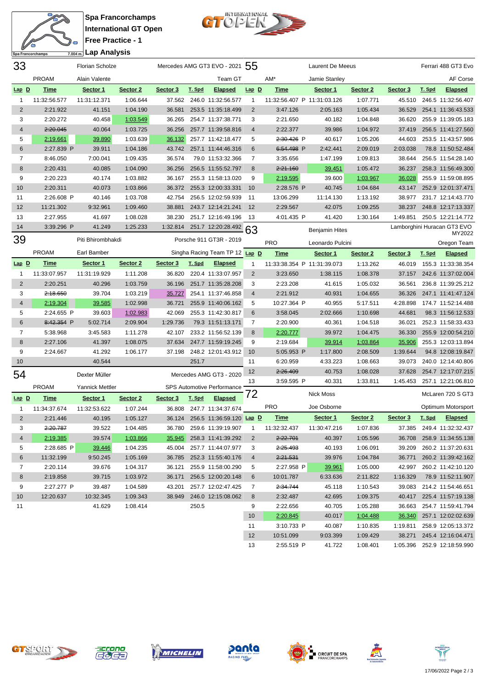



| 33             |              | <b>Florian Scholze</b> |          |          |        | Mercedes AMG GT3 EVO - 2021 55  |                |                             | Laurent De Meeus      |          |               |        | Ferrari 488 GT3 Evo                   |
|----------------|--------------|------------------------|----------|----------|--------|---------------------------------|----------------|-----------------------------|-----------------------|----------|---------------|--------|---------------------------------------|
|                | <b>PROAM</b> | Alain Valente          |          |          |        | Team GT                         |                | AM*                         | Jamie Stanley         |          |               |        | AF Corse                              |
| $Lap$ $D$      | <b>Time</b>  | Sector 1               | Sector 2 | Sector 3 | T. Spd | <b>Elapsed</b>                  | $Lap$ $D$      | <b>Time</b>                 | Sector 1              | Sector 2 | Sector 3      | T. Spd | <b>Elapsed</b>                        |
| $\mathbf{1}$   | 11:32:56.577 | 11:31:12.371           | 1:06.644 | 37.562   |        | 246.0 11:32:56.577              | $\mathbf{1}$   | 11:32:56.407 P 11:31:03.126 |                       | 1:07.771 | 45.510        |        | 246.5 11:32:56.407                    |
| $\overline{2}$ | 2:21.922     | 41.151                 | 1:04.190 | 36.581   |        | 253.5 11:35:18.499              | $\overline{2}$ | 3:47.126                    | 2:05.163              | 1:05.434 | 36.529        |        | 254.1 11:36:43.533                    |
| 3              | 2:20.272     | 40.458                 | 1:03.549 | 36.265   |        | 254.7 11:37:38.771              | 3              | 2:21.650                    | 40.182                | 1:04.848 | 36.620        |        | 255.9 11:39:05.183                    |
| $\overline{4}$ | 2:20.045     | 40.064                 | 1:03.725 | 36.256   |        | 257.7 11:39:58.816              | $\overline{4}$ | 2:22.377                    | 39.986                | 1:04.972 | 37.419        |        | 256.5 11:41:27.560                    |
| 5              | 2:19.661     | 39.890                 | 1:03.639 | 36.132   |        | 257.7 11:42:18.477              | 5              | 2:30.426 P                  | 40.617                | 1:05.206 | 44.603        |        | 253.5 11:43:57.986                    |
| 6              | 2:27.839 P   | 39.911                 | 1:04.186 | 43.742   |        | 257.1 11:44:46.316              | 6              | 6:54.498 P                  | 2:42.441              | 2:09.019 | 2:03.038      |        | 78.8 11:50:52.484                     |
| 7              | 8:46.050     | 7:00.041               | 1:09.435 | 36.574   |        | 79.0 11:53:32.366               | 7              | 3:35.656                    | 1:47.199              | 1:09.813 | 38.644        |        | 256.5 11:54:28.140                    |
| 8              | 2:20.431     | 40.085                 | 1:04.090 | 36.256   |        | 256.5 11:55:52.797              | 8              | 2:21.160                    | 39.451                | 1:05.472 | 36.237        |        | 258.3 11:56:49.300                    |
| 9              | 2:20.223     | 40.174                 | 1:03.882 | 36.167   |        | 255.3 11:58:13.020              | 9              | 2:19.595                    | 39.600                | 1:03.967 | 36.028        |        | 255.9 11:59:08.895                    |
| 10             | 2:20.311     | 40.073                 | 1:03.866 | 36.372   |        | 255.3 12:00:33.331              | 10             | 2:28.576 P                  | 40.745                | 1:04.684 | 43.147        |        | 252.9 12:01:37.471                    |
| 11             | 2:26.608 P   | 40.146                 | 1:03.708 | 42.754   |        | 256.5 12:02:59.939              | 11             | 13:06.299                   | 11:14.130             | 1:13.192 | 38.977        |        | 231.7 12:14:43.770                    |
| 12             | 11:21.302    | 9:32.961               | 1:09.460 | 38.881   |        | 243.7 12:14:21.241              | 12             | 2:29.567                    | 42.075                | 1:09.255 | 38.237        |        | 248.8 12:17:13.337                    |
| 13             | 2:27.955     | 41.697                 | 1:08.028 | 38.230   |        | 251.7 12:16:49.196              | - 13           | 4:01.435 P                  | 41.420                | 1:30.164 | 1:49.851      |        | 250.5 12:21:14.772                    |
| 14             | 3:39.296 P   | 41.249                 | 1:25.233 | 1:32.814 |        | 251.7 12:20:28.492              | 63             |                             | <b>Benjamin Hites</b> |          |               |        | Lamborghini Huracan GT3 EVO<br>MY2022 |
| 39             |              | Piti Bhirombhakdi      |          |          |        | Porsche 911 GT3R - 2019         |                | <b>PRO</b>                  | Leonardo Pulcini      |          |               |        | Oregon Team                           |
|                | <b>PROAM</b> | Earl Bamber            |          |          |        | Singha Racing Team TP 12 Lap D  |                | Time                        | Sector 1              | Sector 2 | Sector 3      | T. Spd | <b>Elapsed</b>                        |
| $Lap$ $D$      | <b>Time</b>  | Sector 1               | Sector 2 | Sector 3 | T. Spd | <b>Elapsed</b>                  | 1              | 11:33:38.354 P 11:31:39.073 |                       | 1:13.262 | 46.019        |        | 155.3 11:33:38.354                    |
| $\mathbf{1}$   | 11:33:07.957 | 11:31:19.929           | 1:11.208 | 36.820   |        | 220.4 11:33:07.957              | 2              | 3:23.650                    | 1:38.115              | 1:08.378 | 37.157        |        | 242.6 11:37:02.004                    |
| $\overline{2}$ | 2:20.251     | 40.296                 | 1:03.759 | 36.196   |        | 251.7 11:35:28.208              | 3              | 2:23.208                    | 41.615                | 1:05.032 | 36.561        |        | 236.8 11:39:25.212                    |
| 3              | 2:18.650     | 39.704                 | 1:03.219 | 35.727   |        | 254.1 11:37:46.858              | $\overline{4}$ | 2:21.912                    | 40.931                | 1:04.655 | 36.326        |        | 247.1 11:41:47.124                    |
| $\overline{4}$ | 2:19.304     | 39.585                 | 1:02.998 | 36.721   |        | 255.9 11:40:06.162              | 5              | 10:27.364 P                 | 40.955                | 5:17.511 | 4:28.898      |        | 174.7 11:52:14.488                    |
| 5              | 2:24.655 P   | 39.603                 | 1:02.983 | 42.069   |        | 255.3 11:42:30.817              | $6\phantom{1}$ | 3:58.045                    | 2:02.666              | 1:10.698 | 44.681        |        | 98.3 11:56:12.533                     |
| $\,6$          | 8:42.354 P   | 5:02.714               | 2:09.904 | 1:29.736 |        | 79.3 11:51:13.171               | 7              | 2:20.900                    | 40.361                | 1:04.518 | 36.021        |        | 252.3 11:58:33.433                    |
| $\overline{7}$ | 5:38.968     | 3:45.583               | 1:11.278 | 42.107   |        | 233.2 11:56:52.139              | 8              | 2:20.777                    | 39.972                | 1:04.475 | 36.330        |        | 255.9 12:00:54.210                    |
| $\,8\,$        | 2:27.106     | 41.397                 | 1:08.075 | 37.634   |        | 247.7 11:59:19.245              | 9              | 2:19.684                    | 39.914                | 1:03.864 | <u>35.906</u> |        | 255.3 12:03:13.894                    |
| 9              | 2:24.667     | 41.292                 | 1:06.177 | 37.198   |        | 248.2 12:01:43.912              | 10             | 5:05.953 P                  | 1:17.800              | 2:08.509 | 1:39.644      |        | 94.8 12:08:19.847                     |
| 10             |              | 40.544                 |          |          | 251.7  |                                 | 11             | 6:20.959                    | 4:33.223              | 1:08.663 | 39.073        |        | 240.0 12:14:40.806                    |
| 54             |              | Dexter Müller          |          |          |        | Mercedes AMG GT3 - 2020         | 12             | 2:26.409                    | 40.753                | 1:08.028 | 37.628        |        | 254.7 12:17:07.215                    |
|                | <b>PROAM</b> | Yannick Mettler        |          |          |        | SPS Automotive Performance      | 13             | 3:59.595 P                  | 40.331                | 1:33.811 | 1:45.453      |        | 257.1 12:21:06.810                    |
| $Lap$ $D$      | <b>Time</b>  | Sector 1               | Sector 2 | Sector 3 | T. Spd | <b>Elapsed</b>                  | 72             |                             | <b>Nick Moss</b>      |          |               |        | McLaren 720 S GT3                     |
| $\mathbf{1}$   | 11:34:37.674 | 11:32:53.622           | 1:07.244 | 36.808   |        | 247.7 11:34:37.674              |                | <b>PRO</b>                  | Joe Osborne           |          |               |        | Optimum Motorsport                    |
| $\overline{2}$ | 2:21.446     | 40.195                 | 1:05.127 |          |        | 36.124 256.5 11:36:59.120 Lap D |                | <b>Time</b>                 | Sector 1              | Sector 2 | Sector 3      | T. Spd | <b>Elapsed</b>                        |
| 3              | 2:20.787     | 39.522                 | 1:04.485 |          |        | 36.780 259.6 11:39:19.907       | -1             | 11:32:32.437                | 11:30:47.216          | 1:07.836 |               |        | 37.385 249.4 11:32:32.437             |
| $\overline{4}$ | 2:19.385     | 39.574                 | 1:03.866 | 35.945   |        | 258.3 11:41:39.292              | 2              | 2:22.701                    | 40.397                | 1:05.596 | 36.708        |        | 258.9 11:34:55.138                    |
| 5              | 2:28.685 P   | 39.446                 | 1:04.235 |          |        | 45.004 257.7 11:44:07.977       | 3              | 2:25.493                    | 40.193                | 1:06.091 | 39.209        |        | 260.2 11:37:20.631                    |
| 6              | 11:32.199    | 9:50.245               | 1:05.169 |          |        | 36.785 252.3 11:55:40.176       | 4              | 2:21.531                    | 39.976                | 1:04.784 | 36.771        |        | 260.2 11:39:42.162                    |
| 7              | 2:20.114     | 39.676                 | 1:04.317 | 36.121   |        | 255.9 11:58:00.290              | 5              | 2:27.958 P                  | 39.961                | 1:05.000 | 42.997        |        | 260.2 11:42:10.120                    |
| 8              | 2:19.858     | 39.715                 | 1:03.972 | 36.171   |        | 256.5 12:00:20.148              | 6              | 10:01.787                   | 6:33.636              | 2:11.822 | 1:16.329      |        | 78.9 11:52:11.907                     |
| 9              | 2:27.277 P   | 39.487                 | 1:04.589 | 43.201   |        | 257.7 12:02:47.425              | 7              | 2:34.744                    | 45.118                | 1:10.543 | 39.083        |        | 214.2 11:54:46.651                    |
| 10             | 12:20.637    | 10:32.345              | 1:09.343 | 38.949   |        | 246.0 12:15:08.062              | 8              | 2:32.487                    | 42.695                | 1:09.375 | 40.417        |        | 225.4 11:57:19.138                    |
| 11             |              | 41.629                 | 1:08.414 |          | 250.5  |                                 | 9              | 2:22.656                    | 40.705                | 1:05.288 | 36.663        |        | 254.7 11:59:41.794                    |
|                |              |                        |          |          |        |                                 | 10             | 2:20.845                    | 40.017                | 1:04.488 | 36.340        |        | 257.1 12:02:02.639                    |
|                |              |                        |          |          |        |                                 | 11             | 3:10.733 P                  | 40.087                | 1:10.835 | 1:19.811      |        | 258.9 12:05:13.372                    |
|                |              |                        |          |          |        |                                 | 12             | 10:51.099                   | 9:03.399              | 1:09.429 |               |        | 38.271 245.4 12:16:04.471             |

panta





2:55.519 P 41.722 1:08.401 1:05.396 252.9 12:18:59.990

 $\Xi$ 

**EN CIRCUIT DE SPA<br>En Francorchamps**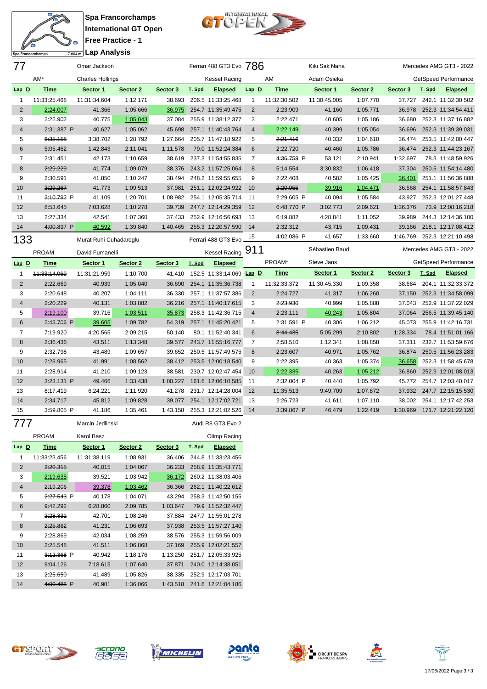

**Spa Francorchamps International GT Open Free Practice - 1 Lap Analysis**



| 77             |              | Omar Jackson            |          |          |        | Ferrari 488 GT3 Evo 786             |                |              | Kiki Sak Nana  |          |          |        | Mercedes AMG GT3 - 2022     |
|----------------|--------------|-------------------------|----------|----------|--------|-------------------------------------|----------------|--------------|----------------|----------|----------|--------|-----------------------------|
|                | AM*          | <b>Charles Hollings</b> |          |          |        | <b>Kessel Racing</b>                |                | AM           | Adam Osieka    |          |          |        | <b>GetSpeed Performance</b> |
| $Lap$ $D$      | <b>Time</b>  | Sector 1                | Sector 2 | Sector 3 | T. Spd | <b>Elapsed</b>                      | $Lap$ $D$      | <b>Time</b>  | Sector 1       | Sector 2 | Sector 3 | T. Spd | <b>Elapsed</b>              |
| $\mathbf{1}$   | 11:33:25.468 | 11:31:34.604            | 1:12.171 | 38.693   |        | 206.5 11:33:25.468                  | $\mathbf{1}$   | 11:32:30.502 | 11:30:45.005   | 1:07.770 | 37.727   |        | 242.1 11:32:30.502          |
| $\overline{2}$ | 2:24.007     | 41.366                  | 1:05.666 | 36.975   |        | 254.7 11:35:49.475                  | $\overline{2}$ | 2:23.909     | 41.160         | 1:05.771 | 36.978   |        | 252.3 11:34:54.411          |
| 3              | 2:22.902     | 40.775                  | 1:05.043 | 37.084   |        | 255.9 11:38:12.377                  | 3              | 2:22.471     | 40.605         | 1:05.186 | 36.680   |        | 252.3 11:37:16.882          |
| $\overline{4}$ | 2:31.387 P   | 40.627                  | 1:05.062 | 45.698   |        | 257.1 11:40:43.764                  | $\overline{4}$ | 2:22.149     | 40.399         | 1:05.054 | 36.696   |        | 252.3 11:39:39.031          |
| 5              | 6:35.158     | 3:38.702                | 1:28.792 | 1:27.664 |        | 205.7 11:47:18.922                  | 5              | 2:21.416     | 40.332         | 1:04.610 | 36.474   |        | 253.5 11:42:00.447          |
| $6\phantom{1}$ | 5:05.462     | 1:42.843                | 2:11.041 | 1:11.578 |        | 79.0 11:52:24.384                   | $6\phantom{1}$ | 2:22.720     | 40.460         | 1:05.786 | 36.474   |        | 252.3 11:44:23.167          |
| $\overline{7}$ | 2:31.451     | 42.173                  | 1:10.659 | 38.619   |        | 237.3 11:54:55.835                  | 7              | 4:36.759 P   | 53.121         | 2:10.941 | 1:32.697 |        | 78.3 11:48:59.926           |
| 8              | 2:29.229     | 41.774                  | 1:09.079 | 38.376   |        | 243.2 11:57:25.064                  | 8              | 5:14.554     | 3:30.832       | 1:06.418 | 37.304   |        | 250.5 11:54:14.480          |
| 9              | 2:30.591     | 41.850                  | 1:10.247 | 38.494   |        | 248.2 11:59:55.655                  | 9              | 2:22.408     | 40.582         | 1:05.425 | 36.401   |        | 251.1 11:56:36.888          |
| 10             | 2:29.267     | 41.773                  | 1:09.513 | 37.981   |        | 251.1 12:02:24.922                  | 10             | 2:20.955     | 39.916         | 1:04.471 | 36.568   |        | 254.1 11:58:57.843          |
| 11             | 3:10.792 P   | 41.109                  | 1:20.701 | 1:08.982 |        | 254.1 12:05:35.714                  | 11             | 2:29.605 P   | 40.094         | 1:05.584 | 43.927   |        | 252.3 12:01:27.448          |
| 12             | 8:53.645     | 7:03.628                | 1:10.278 | 39.739   |        | 247.7 12:14:29.359                  | 12             | 6:48.770 P   | 3:02.773       | 2:09.621 | 1:36.376 |        | 73.9 12:08:16.218           |
| 13             | 2:27.334     | 42.541                  | 1:07.360 | 37.433   |        | 252.9 12:16:56.693                  | 13             | 6:19.882     | 4:28.841       | 1:11.052 | 39.989   |        | 244.3 12:14:36.100          |
| 14             | 4:00.897 P   | 40.592                  | 1:39.840 | 1:40.465 |        | 255.3 12:20:57.590                  | 14             | 2:32.312     | 43.715         | 1:09.431 | 39.166   |        | 218.1 12:17:08.412          |
| 133            |              | Murat Ruhi Cuhadaroglu  |          |          |        | Ferrari 488 GT3 Evo                 | 15             | 4:02.086 P   | 41.657         | 1:33.660 | 1:46.769 |        | 252.3 12:21:10.498          |
|                |              |                         |          |          |        |                                     |                |              |                |          |          |        |                             |
|                | <b>PROAM</b> | David Fumanelli         |          |          |        |                                     |                |              | Sébastien Baud |          |          |        | Mercedes AMG GT3 - 2022     |
| $Lap$ D        | <b>Time</b>  | Sector 1                | Sector 2 | Sector 3 | T. Spd | Kessel Racing 911<br><b>Elapsed</b> |                | PROAM*       | Steve Jans     |          |          |        | GetSpeed Performance        |
| 1              | 44:33:14.069 | 11:31:21.959            | 1:10.700 | 41.410   |        | 152.5 11:33:14.069 Lap D            |                | <b>Time</b>  | Sector 1       | Sector 2 | Sector 3 | T. Spd | <b>Elapsed</b>              |
| $\overline{2}$ | 2:22.669     | 40.939                  | 1:05.040 | 36.690   |        | 254.1 11:35:36.738                  | $\mathbf{1}$   | 11:32:33.372 | 11:30:45.330   | 1:09.358 | 38.684   |        | 204.1 11:32:33.372          |
| 3              | 2:20.648     | 40.207                  | 1:04.111 | 36.330   |        | 257.1 11:37:57.386                  | $\overline{2}$ | 2:24.727     | 41.317         | 1:06.260 | 37.150   |        | 252.3 11:34:58.099          |
| $\overline{4}$ | 2:20.229     | 40.131                  | 1:03.882 | 36.216   |        | 257.1 11:40:17.615                  | 3              | 2:23.930     | 40.999         | 1:05.888 | 37.043   |        | 252.9 11:37:22.029          |
| 5              | 2:19.100     | 39.716                  | 1:03.511 | 35.873   |        | 258.3 11:42:36.715                  | $\overline{4}$ | 2:23.111     | 40.243         | 1:05.804 | 37.064   |        | 256.5 11:39:45.140          |
| 6              | 2:43.706 P   | 39.605                  | 1:09.782 | 54.319   |        | 257.1 11:45:20.421                  | 5              | 2:31.591 P   | 40.306         | 1:06.212 | 45.073   |        | 255.9 11:42:16.731          |
| $\overline{7}$ | 7:19.920     | 4:20.565                | 2:09.215 | 50.140   |        | 80.1 11:52:40.341                   | 6              | 8:44.435     | 5:05.299       | 2:10.802 | 1:28.334 |        | 78.4 11:51:01.166           |
| 8              | 2:36.436     | 43.511                  | 1:13.348 | 39.577   |        | 243.7 11:55:16.777                  | $\overline{7}$ | 2:58.510     | 1:12.341       | 1:08.858 | 37.311   |        | 232.7 11:53:59.676          |
| 9              | 2:32.798     | 43.489                  | 1:09.657 | 39.652   |        | 250.5 11:57:49.575                  | 8              | 2:23.607     | 40.971         | 1:05.762 | 36.874   |        | 250.5 11:56:23.283          |
| 10             | 2:28.965     | 41.991                  | 1:08.562 | 38.412   |        | 253.5 12:00:18.540                  | 9              | 2:22.395     | 40.363         | 1:05.374 | 36.658   |        | 252.3 11:58:45.678          |
| 11             | 2:28.914     | 41.210                  | 1:09.123 | 38.581   |        | 230.7 12:02:47.454                  | 10             | 2:22.335     | 40.263         | 1:05.212 | 36.860   |        | 252.9 12:01:08.013          |
| 12             | 3:23.131 P   | 49.466                  | 1:33.438 | 1:00.227 |        | 161.6 12:06:10.585                  | 11             | 2:32.004 P   | 40.440         | 1:05.792 | 45.772   |        | 254.7 12:03:40.017          |
| 13             | 8:17.419     | 6:24.221                | 1:11.920 | 41.278   |        | 231.7 12:14:28.004                  | 12             | 11:35.513    | 9:49.709       | 1:07.872 | 37.932   |        | 247.7 12:15:15.530          |
| 14             | 2:34.717     | 45.812                  | 1:09.828 | 39.077   |        | 254.1 12:17:02.721                  | 13             | 2:26.723     | 41.611         | 1:07.110 | 38.002   |        | 254.1 12:17:42.253          |
| 15             | 3:59.805 P   | 41.186                  | 1:35.461 | 1:43.158 |        | 255.3 12:21:02.526                  | 14             | 3:39.867 P   | 46.479         | 1:22.419 | 1:30.969 |        | 171.7 12:21:22.120          |

| <b>PROAM</b>   |  |                     |   | Karol Basz   |          |          |        | Olimp Racing       |
|----------------|--|---------------------|---|--------------|----------|----------|--------|--------------------|
| $Lap$ D        |  | <b>Time</b>         |   | Sector 1     | Sector 2 | Sector 3 | T. Spd | <b>Elapsed</b>     |
| 1              |  | 11:33:23.456        |   | 11:31:38.119 | 1:08.931 | 36.406   | 244.8  | 11:33:23.456       |
| $\overline{2}$ |  | 2:20.315            |   | 40.015       | 1:04.067 | 36.233   | 258.9  | 11:35:43.771       |
| 3              |  | 2:19.635            |   | 39.521       | 1:03.942 | 36.172   | 260.2  | 11:38:03.406       |
| $\overline{4}$ |  | 2:19.206            |   | 39.378       | 1:03.462 | 36.366   | 262.1  | 11:40:22.612       |
| 5              |  | 2:27.543 P          |   | 40.178       | 1:04.071 | 43.294   | 258.3  | 11:42:50.155       |
| 6              |  | 9:42.292            |   | 6:28.860     | 2:09.785 | 1:03.647 |        | 79.9 11:52:32.447  |
| $\overline{7}$ |  | 2:28.831            |   | 42.701       | 1:08.246 | 37.884   | 247.7  | 11:55:01.278       |
| 8              |  | 2:25.862            |   | 41.231       | 1:06.693 | 37.938   | 253.5  | 11:57:27.140       |
| 9              |  | 2:28.869            |   | 42.034       | 1:08.259 | 38.576   |        | 255.3 11:59:56.009 |
| 10             |  | 2:25.548            |   | 41.511       | 1:06.868 | 37.169   | 255.9  | 12:02:21.557       |
| 11             |  | <del>3:12.368</del> | P | 40.942       | 1:18.176 | 1:13.250 | 251.7  | 12:05:33.925       |
| 12             |  | 9:04.126            |   | 7:18.615     | 1:07.640 | 37.871   | 240.0  | 12:14:38.051       |
| 13             |  | 2:25.650            |   | 41.489       | 1:05.826 | 38.335   | 252.9  | 12:17:03.701       |
| 14             |  | 4:00.485            | P | 40.901       | 1:36.066 | 1:43.518 |        | 241.6 12:21:04.186 |













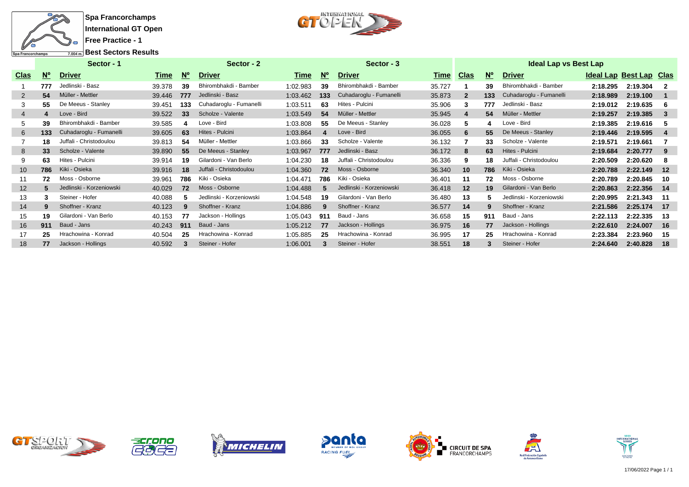

**Spa Francorchamps International GT Open Free Practice - 1**



**Best Sectors Results**

|                |             | Sector - 1               |        | Sector - 2  |                          |          |             | Sector - 3               | <b>Ideal Lap vs Best Lap</b> |                         |             |                          |                         |          |     |  |  |
|----------------|-------------|--------------------------|--------|-------------|--------------------------|----------|-------------|--------------------------|------------------------------|-------------------------|-------------|--------------------------|-------------------------|----------|-----|--|--|
| <b>Clas</b>    | $N^{\circ}$ | <b>Driver</b>            | Time   | $N^{\circ}$ | <b>Driver</b>            | Time     | $N^{\circ}$ | <b>Driver</b>            | Time                         | <u>Clas</u>             | $N^{\circ}$ | <b>Driver</b>            | Ideal Lap Best Lap Clas |          |     |  |  |
|                | 777         | Jedlinski - Basz         | 39.378 | 39          | Bhirombhakdi - Bamber    | 1:02.983 | 39          | Bhirombhakdi - Bamber    | 35.727                       |                         | 39          | Bhirombhakdi - Bamber    | 2:18.295                | 2:19.304 |     |  |  |
| 2              | 54          | Müller - Mettler         | 39.446 | 777         | Jedlinski - Basz         | 1:03.462 | 133         | Cuhadaroglu - Fumanelli  | 35.873                       | $\overline{\mathbf{2}}$ | 133         | Cuhadaroglu - Fumanelli  | 2:18.989                | 2:19.100 |     |  |  |
| 3              | 55          | De Meeus - Stanley       | 39.451 | 133         | Cuhadaroglu - Fumanelli  | 1:03.511 | 63          | Hites - Pulcini          | 35.906                       | 3                       | 777         | Jedlinski - Basz         | 2:19.012                | 2:19.635 | - 6 |  |  |
| $\overline{4}$ | 4           | Love - Bird              | 39.522 | 33          | Scholze - Valente        | 1:03.549 | 54          | Müller - Mettler         | 35.945                       | -4                      | 54          | Müller - Mettler         | 2:19.257                | 2:19.385 | -3  |  |  |
| 5              | 39          | Bhirombhakdi - Bamber    | 39.585 |             | Love - Bird              | 1:03.808 | 55          | De Meeus - Stanley       | 36.028                       | 5                       |             | Love - Bird              | 2:19.385                | 2:19.616 | -5  |  |  |
| 6              | 133         | Cuhadaroglu - Fumanelli  | 39.605 | 63          | Hites - Pulcini          | 1:03.864 |             | Love - Bird              | 36.055                       | 6                       | 55          | De Meeus - Stanley       | 2:19.446                | 2:19.595 | 4   |  |  |
|                | 18          | Juffali - Christodoulou  | 39.813 | 54          | Müller - Mettler         | 1:03.866 | 33          | Scholze - Valente        | 36.132                       |                         | 33          | Scholze - Valente        | 2:19.571                | 2:19.661 |     |  |  |
| 8              | 33          | Scholze - Valente        | 39.890 | 55          | De Meeus - Stanley       | 1:03.967 | 777         | Jedlinski - Basz         | 36.172                       | 8                       | 63          | Hites - Pulcini          | 2:19.684                | 2:20.777 | -9  |  |  |
| 9              | 63          | Hites - Pulcini          | 39.914 | 19          | Gilardoni - Van Berlo    | 1:04.230 | 18          | Juffali - Christodoulou  | 36.336                       | 9                       | 18          | Juffali - Christodoulou  | 2:20.509                | 2:20.620 | -8  |  |  |
| 10             | 786         | Kiki - Osieka            | 39.916 | 18          | Juffali - Christodoulou  | 1:04.360 | 72          | Moss - Osborne           | 36.340                       | 10                      | 786         | Kiki - Osieka            | 2:20.788                | 2:22.149 | 12  |  |  |
| 11             | 72          | Moss - Osborne           | 39.961 | 786         | - Osieka<br>Kiki         | 1:04.471 | 786         | Kiki - Osieka            | 36.401                       | 11                      | 72          | Moss - Osborne           | 2:20.789                | 2:20.845 | 10  |  |  |
| 12             |             | Jedlinski - Korzeniowski | 40.029 | 72          | Moss - Osborne           | 1:04.488 | 5           | Jedlinski - Korzeniowski | 36.418                       | 12                      | 19          | Gilardoni - Van Berlo    | 2:20.863                | 2:22.356 | 14  |  |  |
| 13             |             | Steiner - Hofer          | 40.088 |             | Jedlinski - Korzeniowski | 1:04.548 | 19          | Gilardoni - Van Berlo    | 36.480                       | 13                      |             | Jedlinski - Korzeniowski | 2:20.995                | 2:21.343 | -11 |  |  |
| 14             | 9           | Shoffner - Kranz         | 40.123 | q           | Shoffner - Kranz         | 1:04.886 | 9           | Shoffner - Kranz         | 36.577                       | 14                      | 9           | Shoffner - Kranz         | 2:21.586                | 2:25.174 | 17  |  |  |
| 15             | 19          | Gilardoni - Van Berlo    | 40.153 | 77          | Jackson - Hollings       | 1:05.043 | 911         | Baud - Jans              | 36.658                       | 15                      | 911         | Baud - Jans              | 2:22.113                | 2:22.335 | 13  |  |  |
| 16             | 911         | Baud - Jans              | 40.243 | 911         | Baud - Jans              | 1:05.212 | 77          | Jackson - Hollings       | 36.975                       | 16                      | 77          | Jackson - Hollings       | 2:22.610                | 2:24.007 | 16  |  |  |
| 17             | 25          | Hrachowina - Konrad      | 40.504 | 25          | Hrachowina - Konrad      | 1:05.885 | 25          | Hrachowina - Konrad      | 36.995                       | 17                      | 25          | Hrachowina - Konrad      | 2:23.384                | 2:23.960 | -15 |  |  |
| 18             | 77          | Jackson - Hollings       | 40.592 | 3           | Steiner - Hofer          | 1:06.001 | 3           | Steiner - Hofer          | 38.551                       | 18                      | 3           | Steiner - Hofer          | 2:24.640                | 2:40.828 | 18  |  |  |













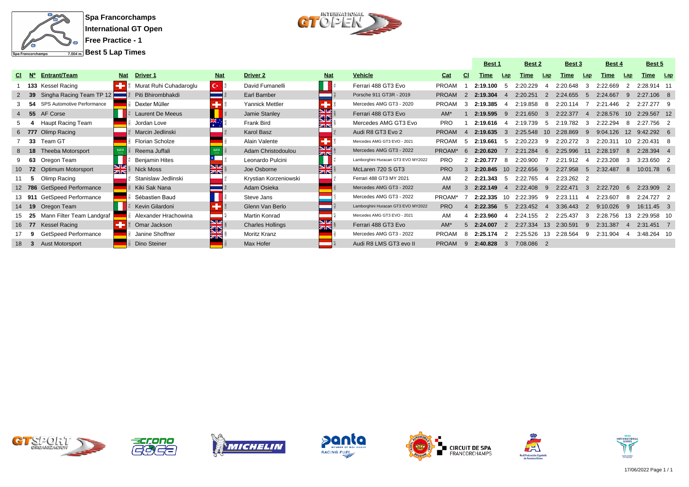

**Spa Francorchamps International GT Open Free Practice - 1**



|    |              |                             |            |                         |            |                         |            |                                    |              |          | <b>Best 1</b> |                 |            | <b>Best 2</b>   |            | <b>Best 3</b><br><b>Best 4</b> |             |                | Best 5       |  |
|----|--------------|-----------------------------|------------|-------------------------|------------|-------------------------|------------|------------------------------------|--------------|----------|---------------|-----------------|------------|-----------------|------------|--------------------------------|-------------|----------------|--------------|--|
|    | CI N°        | Entrant/Team                | <b>Nat</b> | Driver 1                | <b>Nat</b> | Driver <sub>2</sub>     | <b>Nat</b> | <b>Vehicle</b>                     | Cat          | -CI      | Time          | Lap             | Time       | Lap             | Time       | Lap                            | <b>Time</b> | Lap            | Time Lap     |  |
|    |              | 133 Kessel Racing           |            | Murat Ruhi Cuhadaroglu  | IC∗ B      | David Fumanelli         |            | Ferrari 488 GT3 Evo                | <b>PROAM</b> |          | 2:19.100      |                 | 2:20.229   | $\mathbf{A}$    | 2:20.648   | 3                              | 2:22.669    |                | 2:28.914 11  |  |
|    | - 39         | Singha Racing Team TP 12    |            | Piti Bhirombhakdi       |            | Earl Bamber             |            | Porsche 911 GT3R - 2019            | <b>PROAM</b> |          | 2:19.304      |                 | 2:20.251   |                 | 2:24.655   | -5                             | 2:24.667    | -9             | $2:27.106$ 8 |  |
|    |              | SPS Automotive Performance  |            | Dexter Müller           |            | Yannick Mettler         |            | Mercedes AMG GT3 - 2020            | <b>PROAM</b> |          | 2:19.385      |                 | 2:19.858   | 8               | 2:20.114   |                                | 2:21.446    | -2             | 2:27.277 9   |  |
|    | 4 55         | AF Corse                    |            | <b>Laurent De Meeus</b> |            | Jamie Stanley           | N<br>Na    | Ferrari 488 GT3 Evo                | $AM^*$       |          | 2:19.595      |                 | 2:21.650   | $\mathcal{A}$   | 2:22.377   | $\mathbf{A}$                   | 2:28.576    | 10             | 2:29.567 12  |  |
|    |              | <b>Haupt Racing Team</b>    |            | Jordan Love             |            | Frank Bird              | <b>ZIN</b> | Mercedes AMG GT3 Evo               | <b>PRO</b>   |          | 2:19.616      |                 | 2:19.739   | -5              | 2:19.782   | 3                              | 2:22.294    |                | 2:27.756 2   |  |
|    |              | 6 777 Olimp Racing          |            | Marcin Jedlinski        |            | Karol Basz              |            | Audi R8 GT3 Evo 2                  | <b>PROAM</b> |          | 2:19.635      |                 | 2:25.548   | 10 <sup>°</sup> | 2:28.869   | 9                              | 9:04.126    | 12             | 9:42.292 6   |  |
|    | - 33         | Team GT                     |            | Florian Scholze         |            | Alain Valente           |            | Mercedes AMG GT3 EVO - 2021        | <b>PROAM</b> | -5       | 2:19.661      | -5              | 2:20.223   | -9              | 2:20.272   | 3                              | 2:20.311    | 10             | $2:20.431$ 8 |  |
|    | $8$ 18       | <b>Theeba Motorsport</b>    |            | Reema Juffali           |            | Adam Christodoulou      | স<br>শুহ   | Mercedes AMG GT3 - 2022            | PROAM*       | $\kappa$ | 2:20.620      |                 | 2:21.284   | -6              | 2:25.996   | 11                             | 2:28.197    | <b>8</b>       | 2:28.394 4   |  |
|    | 63           | Oregon Team                 |            | <b>Benjamin Hites</b>   |            | Leonardo Pulcini        |            | Lamborghini Huracan GT3 EVO MY2022 | <b>PRO</b>   |          | 2:20.777      | -8              | 2:20.900   |                 | 2:21.912   | Δ                              | 2:23.208    | -3             | 3:23.650 2   |  |
|    | 10 72        | Optimum Motorsport          | <b>NK</b>  | <b>Nick Moss</b>        | NZ.<br>ZK  | Joe Osborne             | NK<br>NK   | McLaren 720 S GT3                  | <b>PRO</b>   |          | 2:20.845      | 10 <sup>1</sup> | 2:22.656   | 9               | 2:27.958   | -5                             | 2:32.487    | -8             | 10:01.78 6   |  |
|    | -5           | Olimp Racing                |            | Stanislaw Jedlinski     |            | Krystian Korzeniowski   |            | Ferrari 488 GT3 MY 2021            | AM           | 2        | 2:21.343      | -5              | 2:22.765   | 4               | 2:23.262 2 |                                |             |                |              |  |
|    |              | 12 786 GetSpeed Performance |            | Kiki Sak Nana           |            | Adam Osieka             |            | Mercedes AMG GT3 - 2022            | <b>AM</b>    |          | 2:22.149      |                 | 2:22.408   | -9              | 2:22.471   | $\mathbf{B}$                   | 2:22.720    | -6             | 2:23.909 2   |  |
|    |              | 13 911 GetSpeed Performance |            | Sébastien Baud          |            | Steve Jans              |            | Mercedes AMG GT3 - 2022            | PROAM*       |          | 2:22.335      | 10.             | 2:22.395   | -9              |            | 4                              | 2:23.607    | -8             | 2:24.727 2   |  |
|    | 14 19        | Oregon Team                 |            | Kevin Gilardoni         |            | Glenn Van Berlo         |            | Lamborghini Huracan GT3 EVO MY2022 | <b>PRO</b>   |          | 2:22.356      |                 | 2:23.452   | $\overline{4}$  | 3:36.443   | 2                              | 9:10.026    | -9             | 16:11.45 3   |  |
|    | - 25         | Mann Filter Team Landgraf   |            | Alexander Hrachowina    |            | Martin Konrad           |            | Mercedes AMG GT3 EVO - 2021        | AM           |          | 2:23.960      |                 | 2:24.155   | 2               | 2:25.437   | 3                              | 2:28.756    | 13             | 2:29.958 10  |  |
|    | 16 77        | Kessel Racing               |            | Omar Jackson            | द्धा       | <b>Charles Hollings</b> | ⊠≼         | Ferrari 488 GT3 Evo                | $AM^*$       | 5        | 2:24.007      | $\mathcal{P}$   | 2:27.334   | 13              | 2:30.591   | 9                              | 2:31.387    | $\overline{4}$ | 2:31.451 7   |  |
|    |              | GetSpeed Performance        |            | Janine Shoffner         |            | Moritz Kranz            |            | Mercedes AMG GT3 - 2022            | <b>PROAM</b> |          | 2:25.174      |                 | 2:25.526   | 13              | 2:28.564   | 9                              | 2:31.904    | -4             | 3:48.264 10  |  |
| 18 | $\mathbf{3}$ | <b>Aust Motorsport</b>      |            | Dino Steiner            |            | Max Hofer               |            | Audi R8 LMS GT3 evo II             | <b>PROAM</b> | -9       | 2:40.828      | -3              | 7:08.086 2 |                 |            |                                |             |                |              |  |













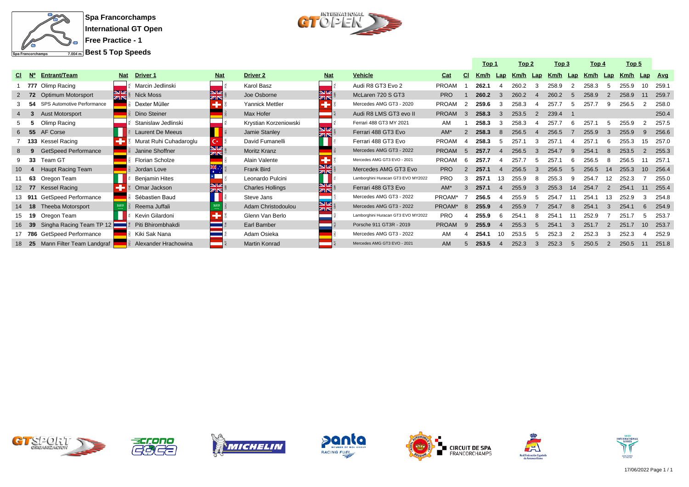

**Spa Francorchamps International GT Open Free Practice - 1**

**Best 5 Top Speeds**



|     |                   |                                   |            |                         |               |                         |                         |                                    |              |                | Top 1 |              | Top <sub>2</sub> |                  | Top 3 |     | Top 4 |     | Top <sub>5</sub> |     |            |
|-----|-------------------|-----------------------------------|------------|-------------------------|---------------|-------------------------|-------------------------|------------------------------------|--------------|----------------|-------|--------------|------------------|------------------|-------|-----|-------|-----|------------------|-----|------------|
| CI. | <b>N°</b>         | <b>Entrant/Team</b>               | <b>Nat</b> | <b>Driver 1</b>         | <b>Nat</b>    | Driver <sub>2</sub>     | <b>Nat</b>              | <b>Vehicle</b>                     | Cat          | CI.            | Km/h  | Lap          | Km/h             | Lap              | Km/h  | Lap | Km/h  | Lap | Km/h             | Lap | <b>Avg</b> |
|     |                   | 777 Olimp Racing                  |            | Marcin Jedlinski        |               | Karol Basz              |                         | Audi R8 GT3 Evo 2                  | <b>PROAM</b> |                | 262.1 |              | 260.2            |                  | 258.9 |     | 258.3 |     | 255.9            |     | 259.       |
|     | $2 \overline{72}$ | <b>Optimum Motorsport</b>         | <u>NK</u>  | <b>Nick Moss</b>        | NZ<br>ZIN     | Joe Osborne             | <b>NK</b>               | McLaren 720 S GT3                  | <b>PRO</b>   |                | 260.2 | -3           | 260.2            | $\boldsymbol{A}$ | 260.2 |     | 258.9 |     | 258.9            |     | 259.7      |
|     | -54               | <b>SPS Automotive Performance</b> |            | Dexter Müller           |               | Yannick Mettler         |                         | Mercedes AMG GT3 - 2020            | PROAM        | $\overline{2}$ | 259.6 |              | 258.3            |                  | 257.7 |     | 257.7 |     | 256.5            |     | 258.C      |
|     |                   | <b>Aust Motorsport</b>            |            | Dino Steiner            |               | Max Hofer               |                         | Audi R8 LMS GT3 evo II             | <b>PROAM</b> | 3              | 258.3 | $\mathbf{B}$ | 253.5            | 2                | 239.4 |     |       |     |                  |     | 250.4      |
|     |                   | Olimp Racing                      |            | Stanislaw Jedlinski     |               | Krystian Korzeniowski   |                         | Ferrari 488 GT3 MY 2021            | AM           |                | 258.3 |              | 258.3            |                  | 257.7 |     | 257.1 |     | 255.9            |     | 257.5      |
|     | - 55              | AF Corse                          |            | <b>Laurent De Meeus</b> |               | Jamie Stanley           | NK<br>ZIR               | Ferrari 488 GT3 Evo                | $AM*$        |                | 258.3 |              | 256.5            |                  | 256.5 |     | 255.9 |     | 255.9            |     | 256.6      |
|     | 133               | Kessel Racing                     |            | Murat Ruhi Cuhadaroglu  | C×.           | David Fumanelli         |                         | Ferrari 488 GT3 Evo                | <b>PROAM</b> |                | 258.3 |              | 257.1            |                  | 257.1 |     | 257.7 |     | 255.3            | 15. | 257.0      |
|     |                   | <b>GetSpeed Performance</b>       |            | Janine Shoffner         | zis           | Moritz Kranz            |                         | Mercedes AMG GT3 - 2022            | <b>PROAM</b> | $\overline{5}$ | 257.7 |              | 256.5            |                  | 254.7 |     | 254.1 |     | 253.5            |     | 255.3      |
|     | - 33              | Team GT                           |            | <b>Florian Scholze</b>  |               | Alain Valente           |                         | Mercedes AMG GT3 EVO - 2021        | <b>PROAM</b> | 6              | 257.7 |              | 257.7            | 5                | 257.1 |     | 256.5 |     | 256.5            |     | 257.       |
|     | -4                | <b>Haupt Racing Team</b>          |            | Jordan Love             | $\frac{1}{2}$ | Frank Bird              | <b>NZ</b><br><b>ZIN</b> | Mercedes AMG GT3 Evo               | <b>PRO</b>   | 2              | 257.1 |              | 256.5            | $\mathcal{B}$    | 256.5 | .5  | 256.5 | 14  | 255.3            | 10  | 256.4      |
|     | 11 63             | Oregon Team                       |            | <b>Benjamin Hites</b>   |               | Leonardo Pulcini        |                         | Lamborghini Huracan GT3 EVO MY2022 | <b>PRO</b>   |                | 257.1 | 13           | 255.9            | 8                | 255.3 |     | 254.7 |     | 252.3            |     | 255.0      |
|     | 12 77             | <b>Kessel Racing</b>              |            | Omar Jackson            | NZ<br>zis     | <b>Charles Hollings</b> | NK<br>AR                | Ferrari 488 GT3 Evo                | $AM*$        | 3              | 257.1 |              | 255.9            | 3                | 255.3 | 14  | 254.7 |     | 254.1            |     | 255.4      |
|     | 13 911            | GetSpeed Performance              |            | Sébastien Baud          |               | Steve Jans              |                         | Mercedes AMG GT3 - 2022            | PROAM*       |                | 256.5 |              | 255.9            | 5                | 254.7 |     | 254.1 |     | 252.9            |     | 254.8      |
|     | 14 18             | <b>Theeba Motorsport</b>          |            | Reema Juffali           |               | Adam Christodoulou      | <b>NZ</b><br>ZIN        | Mercedes AMG GT3 - 2022            | PROAM*       | 8              | 255.9 |              | 255.9            |                  | 254.7 |     | 254.1 |     | 254.1            |     | 254.9      |
|     | 15 19             | Oregon Team                       |            | Kevin Gilardoni         |               | Glenn Van Berlo         |                         | Lamborghini Huracan GT3 EVO MY2022 | <b>PRO</b>   |                | 255.9 |              | 254.             |                  | 254.1 |     | 252.9 |     | 251.7            |     | 253.7      |
|     | 39                | Singha Racing Team TP 12          |            | Piti Bhirombhakdi       |               | Earl Bamber             |                         | Porsche 911 GT3R - 2019            | <b>PROAM</b> | 9              | 255.9 |              | 255.3            | 5                | 254.1 | 3   | 251.7 |     | 251.7            | 10  | 253.7      |
|     | 17 786            | GetSpeed Performance              |            | Kiki Sak Nana           |               | Adam Osieka             |                         | Mercedes AMG GT3 - 2022            | AM           |                | 254.1 | 10           | 253.5            | 5                | 252.3 |     | 252.3 |     | 252.3            |     | 252.9      |
|     | 18 25             | Mann Filter Team Landgraf         |            | Alexander Hrachowina    |               | <b>Martin Konrad</b>    |                         | Mercedes AMG GT3 EVO - 2021        | <b>AM</b>    | 5              | 253.5 |              | 252.3            | 3                | 252.3 |     | 250.5 |     | 250.5            | 11  | 251.8      |













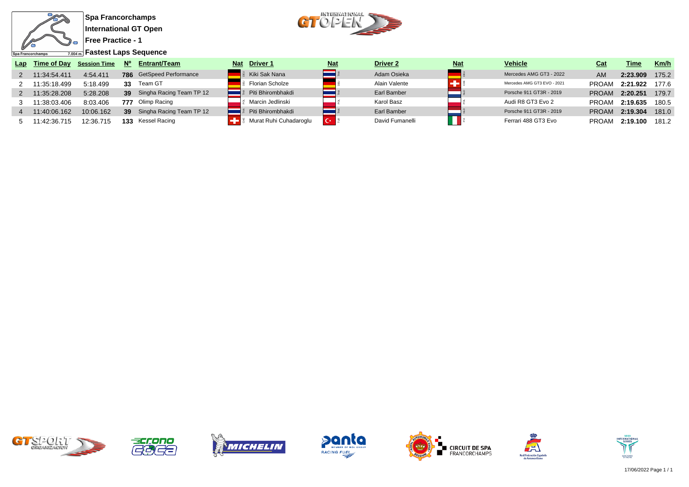



**Fastest Laps Sequence**

| Lap | Time of Day  | <b>Session Time</b> |     | Entrant/Team                    | <b>Nat</b> | <b>Driver 1</b>        | <b>Nat</b>     | Driver 2        | <u>Nat</u> | <b>Vehicle</b>              | Cat          | Time     | Km/h  |
|-----|--------------|---------------------|-----|---------------------------------|------------|------------------------|----------------|-----------------|------------|-----------------------------|--------------|----------|-------|
|     | 11:34:54.411 | 4:54.411            |     | <b>786</b> GetSpeed Performance |            | Kiki Sak Nana          |                | Adam Osieka     |            | Mercedes AMG GT3 - 2022     | <b>AM</b>    | 2:23.909 | 175.2 |
|     | 11:35:18.499 | 5:18.499            | 33  | Team GT                         |            | Florian Scholze        |                | Alain Valente   |            | Mercedes AMG GT3 EVO - 2021 | <b>PROAM</b> | 2:21.922 | 177.6 |
|     | 11:35:28.208 | 5:28.208            |     | 39 Singha Racing Team TP 12     |            | Piti Bhirombhakdi      |                | Earl Bamber     |            | Porsche 911 GT3R - 2019     | <b>PROAM</b> | 2:20.251 | 179.7 |
|     | 11:38:03.406 | 8:03.406            | 777 | Olimp Racing                    |            | Marcin Jedlinski       |                | Karol Basz      |            | Audi R8 GT3 Evo 2           | <b>PROAM</b> | 2:19.635 | 180.5 |
|     | 11:40:06.162 | 10:06.162           |     | 39 Singha Racing Team TP 12     |            | Piti Bhirombhakdi      |                | Earl Bamber     |            | Porsche 911 GT3R - 2019     | <b>PROAM</b> | 2:19.304 | 181.0 |
|     | 1:42:36.715  | 12:36.715           | 133 | Kessel Racing                   |            | Murat Ruhi Cuhadaroglu | $\mathbf{C}^*$ | David Fumanelli |            | Ferrari 488 GT3 Evo         | <b>PROAM</b> | 2:19.100 | 181.2 |













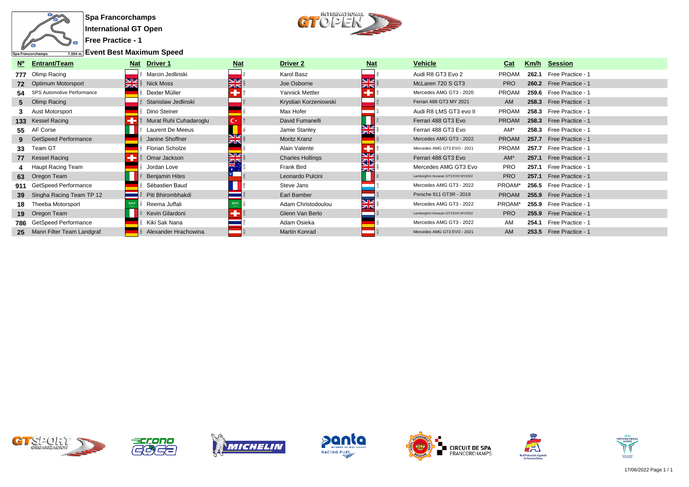

**Free Practice - 1**

**Event Best Maximum Speed**



| N°  | <b>Entrant/Team</b>             | <b>Nat</b>       | Driver 1               | <b>Nat</b>              | <b>Driver 2</b>         | <b>Nat</b>       | <b>Vehicle</b>                     | Cat          |       | Km/h Session            |
|-----|---------------------------------|------------------|------------------------|-------------------------|-------------------------|------------------|------------------------------------|--------------|-------|-------------------------|
|     | 777 Olimp Racing                |                  | Marcin Jedlinski       |                         | Karol Basz              |                  | Audi R8 GT3 Evo 2                  | <b>PROAM</b> | 262.1 | Free Practice - 1       |
| 72  | <b>Optimum Motorsport</b>       | <b>NZ</b><br>zis | <b>Nick Moss</b>       | <b>NZ</b><br><b>ZIN</b> | Joe Osborne             | <b>NIZ</b><br>ZK | McLaren 720 S GT3                  | <b>PRO</b>   |       | 260.2 Free Practice - 1 |
|     | 54 SPS Automotive Performance   |                  | Dexter Müller          |                         | Yannick Mettler         |                  | Mercedes AMG GT3 - 2020            | <b>PROAM</b> |       | 259.6 Free Practice - 1 |
|     | 5 Olimp Racing                  |                  | Stanislaw Jedlinski    |                         | Krystian Korzeniowski   |                  | Ferrari 488 GT3 MY 2021            | AM           |       | 258.3 Free Practice - 1 |
|     | <b>Aust Motorsport</b>          |                  | Dino Steiner           |                         | Max Hofer               |                  | Audi R8 LMS GT3 evo II             | <b>PROAM</b> |       | 258.3 Free Practice - 1 |
|     | 133 Kessel Racing               |                  | Murat Ruhi Cuhadaroglu | C×.                     | David Fumanelli         |                  | Ferrari 488 GT3 Evo                | <b>PROAM</b> |       | 258.3 Free Practice - 1 |
|     | 55 AF Corse                     |                  | Laurent De Meeus       |                         | Jamie Stanley           |                  | Ferrari 488 GT3 Evo                | AM*          |       | 258.3 Free Practice - 1 |
|     | <b>GetSpeed Performance</b>     |                  | Janine Shoffner        | <b>ZIN</b>              | Moritz Kranz            |                  | Mercedes AMG GT3 - 2022            | <b>PROAM</b> |       | 257.7 Free Practice - 1 |
| 33  | Team GT                         |                  | Florian Scholze        |                         | Alain Valente           | л                | Mercedes AMG GT3 EVO - 2021        | <b>PROAM</b> |       | 257.7 Free Practice - 1 |
|     | 77 Kessel Racing                |                  | Omar Jackson           | NØ<br>ØR                | <b>Charles Hollings</b> | NM<br>ସ⊠         | Ferrari 488 GT3 Evo                | $AM^*$       |       | 257.1 Free Practice - 1 |
|     | Haupt Racing Team               |                  | Jordan Love            |                         | Frank Bird              |                  | Mercedes AMG GT3 Evo               | <b>PRO</b>   |       | 257.1 Free Practice - 1 |
|     | 63 Oregon Team                  |                  | <b>Benjamin Hites</b>  |                         | Leonardo Pulcini        |                  | Lamborghini Huracan GT3 EVO MY2022 | <b>PRO</b>   |       | 257.1 Free Practice - 1 |
|     | 911 GetSpeed Performance        |                  | Sébastien Baud         |                         | Steve Jans              |                  | Mercedes AMG GT3 - 2022            | PROAM*       |       | 256.5 Free Practice - 1 |
| 39  | Singha Racing Team TP 12        |                  | Piti Bhirombhakdi      |                         | Earl Bamber             |                  | Porsche 911 GT3R - 2019            | <b>PROAM</b> |       | 255.9 Free Practice - 1 |
| 18. | Theeba Motorsport               |                  | Reema Juffali          |                         | Adam Christodoulou      |                  | Mercedes AMG GT3 - 2022            | PROAM*       |       | 255.9 Free Practice - 1 |
| 19  | Oregon Team                     |                  | Kevin Gilardoni        |                         | Glenn Van Berlo         |                  | Lamborghini Huracan GT3 EVO MY2022 | <b>PRO</b>   |       | 255.9 Free Practice - 1 |
|     | <b>786</b> GetSpeed Performance |                  | Kiki Sak Nana          |                         | Adam Osieka             |                  | Mercedes AMG GT3 - 2022            | AM           |       | 254.1 Free Practice - 1 |
|     | 25 Mann Filter Team Landgraf    |                  | Alexander Hrachowina   |                         | Martin Konrad           |                  | Mercedes AMG GT3 EVO - 2021        | <b>AM</b>    |       | 253.5 Free Practice - 1 |













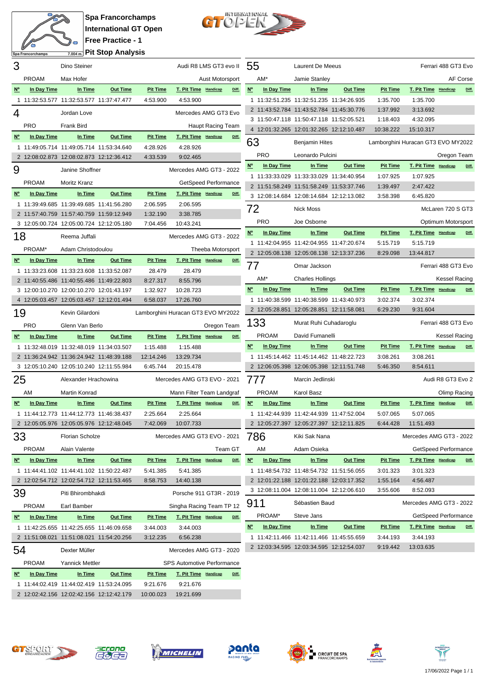

**Spa Francorchamps International GT Open Free Practice - 1 Pit Stop Analysis**



| 3              |                                          | Dino Steiner                             |                 |                                    | Audi R8 LMS GT3 evo II 55         |                          |       |             |              | Laurent De Meeus                         |                                          |                                    |                         | Ferrari 488 GT3 Evo  |       |
|----------------|------------------------------------------|------------------------------------------|-----------------|------------------------------------|-----------------------------------|--------------------------|-------|-------------|--------------|------------------------------------------|------------------------------------------|------------------------------------|-------------------------|----------------------|-------|
|                | <b>PROAM</b>                             | Max Hofer                                |                 |                                    |                                   | Aust Motorsport          |       |             | AM*          | Jamie Stanley                            |                                          |                                    |                         | AF Corse             |       |
| $N^{\circ}$    | In Day Time                              | In Time                                  | <b>Out Time</b> | <b>Pit Time</b>                    | T. Pit Time Handicap              |                          | Diff. | $N^{\circ}$ | In Day Time  | In Time                                  | <b>Out Time</b>                          | <b>Pit Time</b>                    | T. Pit Time Handicap    |                      | Diff. |
|                | 1 11:32:53.577 11:32:53.577 11:37:47.477 |                                          |                 | 4:53.900                           | 4:53.900                          |                          |       |             |              | 1 11:32:51.235 11:32:51.235 11:34:26.935 |                                          | 1:35.700                           | 1:35.700                |                      |       |
| 4              |                                          | Jordan Love                              |                 |                                    | Mercedes AMG GT3 Evo              |                          |       |             |              | 2 11:43:52.784 11:43:52.784 11:45:30.776 |                                          | 1:37.992                           | 3:13.692                |                      |       |
|                |                                          |                                          |                 |                                    |                                   |                          |       |             |              | 3 11:50:47.118 11:50:47.118 11:52:05.521 |                                          | 1:18.403                           | 4:32.095                |                      |       |
|                | <b>PRO</b>                               | Frank Bird                               |                 |                                    |                                   | Haupt Racing Team        |       |             |              | 4 12:01:32.265 12:01:32.265 12:12:10.487 |                                          | 10:38.222                          | 15:10.317               |                      |       |
| $N^{\circ}$    | In Day Time                              | In Time                                  | <b>Out Time</b> | <b>Pit Time</b>                    | T. Pit Time Handicap              |                          | Diff. | 63          |              | <b>Benjamin Hites</b>                    |                                          | Lamborghini Huracan GT3 EVO MY2022 |                         |                      |       |
|                | 1 11:49:05.714 11:49:05.714 11:53:34.640 |                                          |                 | 4:28.926                           | 4:28.926                          |                          |       |             | <b>PRO</b>   | Leonardo Pulcini                         |                                          |                                    |                         | Oregon Team          |       |
|                | 2 12:08:02.873 12:08:02.873 12:12:36.412 |                                          |                 | 4:33.539                           | 9:02.465                          |                          |       |             |              |                                          |                                          |                                    |                         |                      |       |
| 9              |                                          | Janine Shoffner                          |                 |                                    | Mercedes AMG GT3 - 2022           |                          |       | $N^{\circ}$ | In Day Time  | In Time                                  | <b>Out Time</b>                          | <b>Pit Time</b>                    | T. Pit Time Handicap    |                      | Diff. |
|                | <b>PROAM</b>                             | Moritz Kranz                             |                 |                                    |                                   | GetSpeed Performance     |       |             |              | 1 11:33:33.029 11:33:33.029 11:34:40.954 |                                          | 1:07.925                           | 1:07.925                |                      |       |
| $N^{\circ}$    | In Day Time                              | In Time                                  | <b>Out Time</b> | <b>Pit Time</b>                    | <b>T. Pit Time Handicap</b>       |                          | Diff. |             |              | 2 11:51:58.249 11:51:58.249 11:53:37.746 |                                          | 1:39.497                           | 2:47.422                |                      |       |
|                | 1 11:39:49.685 11:39:49.685 11:41:56.280 |                                          |                 | 2:06.595                           | 2:06.595                          |                          |       |             |              | 3 12:08:14.684 12:08:14.684 12:12:13.082 |                                          | 3:58.398                           | 6:45.820                |                      |       |
|                | 2 11:57:40.759 11:57:40.759 11:59:12.949 |                                          |                 | 1:32.190                           | 3:38.785                          |                          |       | 72          |              | <b>Nick Moss</b>                         |                                          |                                    |                         | McLaren 720 S GT3    |       |
|                | 3 12:05:00.724 12:05:00.724 12:12:05.180 |                                          |                 | 7:04.456                           | 10:43.241                         |                          |       |             | <b>PRO</b>   | Joe Osborne                              |                                          |                                    |                         | Optimum Motorsport   |       |
|                |                                          | Reema Juffali                            |                 |                                    |                                   |                          |       | $N^{\circ}$ | In Day Time  | In Time                                  | <b>Out Time</b>                          | <b>Pit Time</b>                    | T. Pit Time Handicap    |                      | Diff. |
| 18             |                                          |                                          |                 |                                    | Mercedes AMG GT3 - 2022           |                          |       |             |              | 1 11:42:04.955 11:42:04.955 11:47:20.674 |                                          | 5:15.719                           | 5:15.719                |                      |       |
|                | PROAM*                                   | Adam Christodoulou                       |                 |                                    |                                   | <b>Theeba Motorsport</b> |       |             |              | 2 12:05:08.138 12:05:08.138 12:13:37.236 |                                          | 8:29.098                           | 13:44.817               |                      |       |
| $N^{\circ}$    | In Day Time                              | In Time                                  | <b>Out Time</b> | <b>Pit Time</b>                    | T. Pit Time Handicap              |                          | Diff. | 77          |              | Omar Jackson                             |                                          |                                    |                         | Ferrari 488 GT3 Evo  |       |
|                | 1 11:33:23.608 11:33:23.608 11:33:52.087 |                                          |                 | 28.479                             | 28.479                            |                          |       |             |              |                                          |                                          |                                    |                         |                      |       |
|                | 2 11:40:55.486 11:40:55.486 11:49:22.803 |                                          |                 | 8:27.317                           | 8:55.796                          |                          |       |             | AM*          | <b>Charles Hollings</b>                  |                                          |                                    |                         | <b>Kessel Racing</b> |       |
|                | 3 12:00:10.270 12:00:10.270 12:01:43.197 |                                          |                 | 1:32.927                           | 10:28.723                         |                          |       | <b>N°</b>   | In Day Time  | In Time                                  | <b>Out Time</b>                          | <b>Pit Time</b>                    | T. Pit Time Handicap    |                      | Diff. |
|                | 4 12:05:03.457 12:05:03.457 12:12:01.494 |                                          |                 | 6:58.037                           | 17:26.760                         |                          |       |             |              | 1 11:40:38.599 11:40:38.599 11:43:40.973 |                                          | 3:02.374                           | 3:02.374                |                      |       |
| 19             |                                          | Kevin Gilardoni                          |                 | Lamborghini Huracan GT3 EVO MY2022 |                                   |                          |       |             |              | 2 12:05:28.851 12:05:28.851 12:11:58.081 |                                          | 6:29.230                           | 9:31.604                |                      |       |
|                | <b>PRO</b>                               | Glenn Van Berlo                          |                 |                                    |                                   | Oregon Team              |       | 133         |              | Murat Ruhi Cuhadaroglu                   |                                          |                                    |                         | Ferrari 488 GT3 Evo  |       |
| <b>N°</b>      | In Day Time                              | In Time                                  | <b>Out Time</b> | <b>Pit Time</b>                    | T. Pit Time Handicap              |                          | Diff. |             | <b>PROAM</b> | David Fumanelli                          |                                          |                                    |                         | <b>Kessel Racing</b> |       |
|                | 1 11:32:48.019 11:32:48.019 11:34:03.507 |                                          |                 | 1:15.488                           | 1:15.488                          |                          |       | <b>N°</b>   | In Day Time  | In Time                                  | <b>Out Time</b>                          | <b>Pit Time</b>                    | T. Pit Time Handicap    |                      | Diff. |
|                | 2 11:36:24.942 11:36:24.942 11:48:39.188 |                                          |                 | 12:14.246                          | 13:29.734                         |                          |       |             |              | 1 11:45:14.462 11:45:14.462 11:48:22.723 |                                          | 3:08.261                           | 3:08.261                |                      |       |
|                | 3 12:05:10.240 12:05:10.240 12:11:55.984 |                                          |                 | 6:45.744                           | 20:15.478                         |                          |       |             |              | 2 12:06:05.398 12:06:05.398 12:11:51.748 |                                          | 5:46.350                           | 8:54.611                |                      |       |
| 25             |                                          | Alexander Hrachowina                     |                 |                                    | Mercedes AMG GT3 EVO - 2021       |                          |       | 777         |              | Marcin Jedlinski                         |                                          |                                    |                         | Audi R8 GT3 Evo 2    |       |
|                |                                          |                                          |                 |                                    |                                   |                          |       |             |              |                                          |                                          |                                    |                         |                      |       |
|                | AM                                       | Martin Konrad                            |                 |                                    | Mann Filter Team Landgraf         |                          |       |             | PROAM        | Karol Basz                               |                                          |                                    |                         | Olimp Racing         |       |
| $N^{\circ}$    | In Day Time                              | In Time                                  | <b>Out Time</b> | <b>Pit Time</b>                    | T. Pit Time Handicap              |                          | Diff. | $N^{\circ}$ | In Day Time  | In Time                                  | <b>Out Time</b>                          | <b>Pit Time</b>                    | T. Pit Time Handicap    |                      | Diff. |
|                | 1 11:44:12.773 11:44:12.773 11:46:38.437 |                                          |                 | 2:25.664                           | 2:25.664                          |                          |       |             |              | 1 11:42:44.939 11:42:44.939 11:47:52.004 |                                          | 5:07.065                           | 5:07.065                |                      |       |
|                | 2 12:05:05.976 12:05:05.976 12:12:48.045 |                                          |                 |                                    | 7:42.069 10:07.733                |                          |       |             |              |                                          | 2 12:05:27.397 12:05:27.397 12:12:11.825 |                                    | 6:44.428 11:51.493      |                      |       |
| 33             |                                          | <b>Florian Scholze</b>                   |                 |                                    | Mercedes AMG GT3 EVO - 2021       |                          |       | 786         |              | Kiki Sak Nana                            |                                          |                                    | Mercedes AMG GT3 - 2022 |                      |       |
|                | <b>PROAM</b>                             | Alain Valente                            |                 |                                    |                                   | Team GT                  |       |             | AM           | Adam Osieka                              |                                          |                                    | GetSpeed Performance    |                      |       |
| $N^{\circ}$    | In Day Time                              | In Time                                  | <b>Out Time</b> | <b>Pit Time</b>                    | T. Pit Time Handicap              |                          | Diff. | $N^{\circ}$ | In Day Time  | In Time                                  | <b>Out Time</b>                          | <b>Pit Time</b>                    | T. Pit Time Handicap    |                      | Diff. |
|                | 1 11:44:41.102 11:44:41.102 11:50:22.487 |                                          |                 | 5:41.385                           | 5:41.385                          |                          |       |             |              | 1 11:48:54.732 11:48:54.732 11:51:56.055 |                                          | 3:01.323                           | 3:01.323                |                      |       |
|                | 2 12:02:54.712 12:02:54.712 12:11:53.465 |                                          |                 | 8:58.753                           | 14:40.138                         |                          |       |             |              | 2 12:01:22.188 12:01:22.188 12:03:17.352 |                                          | 1:55.164                           | 4:56.487                |                      |       |
| 39             |                                          | Piti Bhirombhakdi                        |                 |                                    | Porsche 911 GT3R - 2019           |                          |       |             |              | 3 12:08:11.004 12:08:11.004 12:12:06.610 |                                          | 3:55.606                           | 8:52.093                |                      |       |
|                |                                          |                                          |                 |                                    |                                   |                          |       | 911         |              | Sébastien Baud                           |                                          |                                    | Mercedes AMG GT3 - 2022 |                      |       |
|                | <b>PROAM</b>                             | Earl Bamber                              |                 |                                    | Singha Racing Team TP 12          |                          |       |             |              |                                          |                                          |                                    |                         |                      |       |
| <u>N°</u>      | In Day Time                              | In Time                                  | <b>Out Time</b> | <b>Pit Time</b>                    | T. Pit Time Handicap              |                          | Diff. |             | PROAM*       | Steve Jans                               |                                          |                                    | GetSpeed Performance    |                      |       |
|                |                                          | 1 11:42:25.655 11:42:25.655 11:46:09.658 |                 | 3:44.003                           | 3:44.003                          |                          |       | <u>N°</u>   | In Day Time  | In Time                                  | <b>Out Time</b>                          | <b>Pit Time</b>                    | T. Pit Time Handicap    |                      | Diff. |
|                |                                          |                                          |                 |                                    |                                   |                          |       |             |              |                                          | 1 11:42:11.466 11:42:11.466 11:45:55.659 | 3:44.193                           | 3:44.193                |                      |       |
|                | 2 11:51:08.021 11:51:08.021 11:54:20.256 |                                          |                 | 3:12.235                           | 6:56.238                          |                          |       |             |              |                                          |                                          |                                    |                         |                      |       |
| 54             |                                          | Dexter Müller                            |                 |                                    | Mercedes AMG GT3 - 2020           |                          |       |             |              | 2 12:03:34.595 12:03:34.595 12:12:54.037 |                                          | 9:19.442                           | 13:03.635               |                      |       |
|                | <b>PROAM</b>                             | Yannick Mettler                          |                 |                                    | <b>SPS Automotive Performance</b> |                          |       |             |              |                                          |                                          |                                    |                         |                      |       |
| N <sup>o</sup> | In Day Time                              | In Time                                  | Out Time        | <b>Pit Time</b>                    | T. Pit Time Handicap              |                          | Diff. |             |              |                                          |                                          |                                    |                         |                      |       |
|                | 1 11:44:02.419 11:44:02.419 11:53:24.095 |                                          |                 | 9:21.676                           | 9:21.676                          |                          |       |             |              |                                          |                                          |                                    |                         |                      |       |